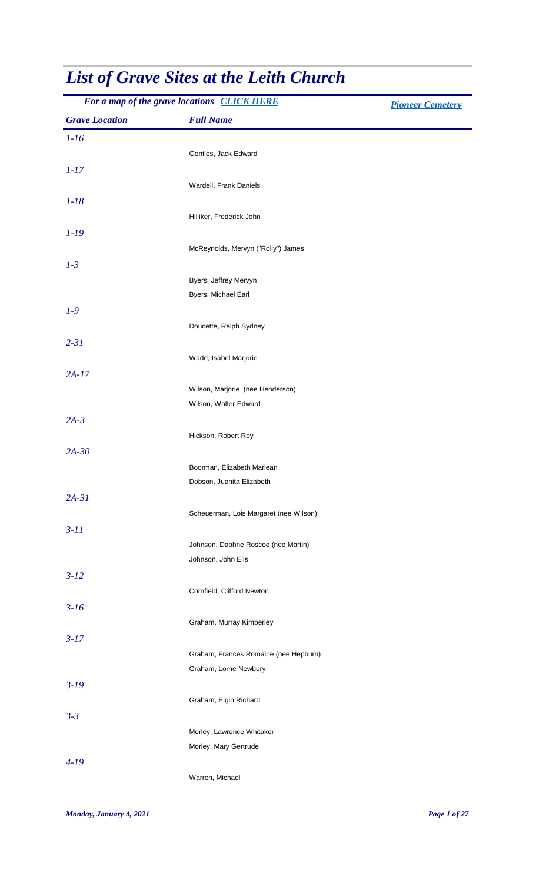| For a map of the grave locations CLICK HERE |                                              | <b>Pioneer Cemetery</b> |
|---------------------------------------------|----------------------------------------------|-------------------------|
| <b>Grave Location</b>                       | <b>Full Name</b>                             |                         |
| $1-16$                                      |                                              |                         |
|                                             | Gentles, Jack Edward                         |                         |
| $1 - 17$                                    |                                              |                         |
|                                             | Wardell, Frank Daniels                       |                         |
| $1 - 18$                                    |                                              |                         |
|                                             | Hilliker, Frederick John                     |                         |
| $1 - 19$                                    |                                              |                         |
|                                             | McReynolds, Mervyn ("Rolly") James           |                         |
| $1-3$                                       |                                              |                         |
|                                             | Byers, Jeffrey Mervyn<br>Byers, Michael Earl |                         |
| $1-9$                                       |                                              |                         |
|                                             | Doucette, Ralph Sydney                       |                         |
| $2 - 31$                                    |                                              |                         |
|                                             | Wade, Isabel Marjorie                        |                         |
| $2A-17$                                     |                                              |                         |
|                                             | Wilson, Marjorie (nee Henderson)             |                         |
|                                             | Wilson, Walter Edward                        |                         |
| $2A-3$                                      |                                              |                         |
|                                             | Hickson, Robert Roy                          |                         |
| $2A-30$                                     |                                              |                         |
|                                             | Boorman, Elizabeth Marlean                   |                         |
|                                             | Dobson, Juanita Elizabeth                    |                         |
| $2A-31$                                     |                                              |                         |
|                                             | Scheuerman, Lois Margaret (nee Wilson)       |                         |
| $3 - 11$                                    | Johnson, Daphne Roscoe (nee Martin)          |                         |
|                                             | Johnson, John Elis                           |                         |
| $3 - 12$                                    |                                              |                         |
|                                             | Cornfield, Clifford Newton                   |                         |
| $3-16$                                      |                                              |                         |
|                                             | Graham, Murray Kimberley                     |                         |
| $3 - 17$                                    |                                              |                         |
|                                             | Graham, Frances Romaine (nee Hepburn)        |                         |
|                                             | Graham, Lorne Newbury                        |                         |
| $3-19$                                      |                                              |                         |
|                                             | Graham, Elgin Richard                        |                         |
| $3 - 3$                                     |                                              |                         |
|                                             | Morley, Lawrence Whitaker                    |                         |
| $4-19$                                      | Morley, Mary Gertrude                        |                         |
|                                             | Warren, Michael                              |                         |
|                                             |                                              |                         |

## *List of Grave Sites at the Leith Church*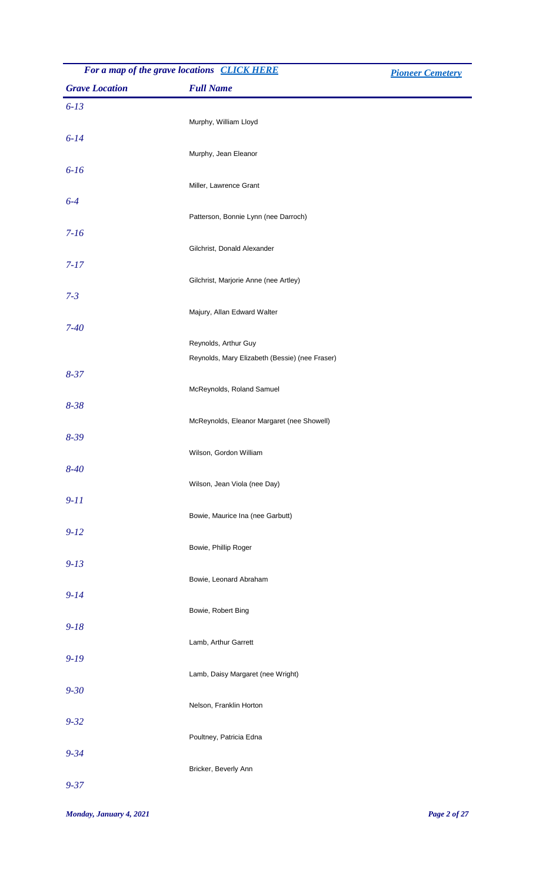| For a map of the grave locations CLICK HERE |                                                | <b>Pioneer Cemetery</b> |
|---------------------------------------------|------------------------------------------------|-------------------------|
| <b>Grave Location</b>                       | <b>Full Name</b>                               |                         |
| $6 - 13$                                    |                                                |                         |
|                                             | Murphy, William Lloyd                          |                         |
| $6 - 14$                                    |                                                |                         |
|                                             | Murphy, Jean Eleanor                           |                         |
| $6 - 16$                                    |                                                |                         |
|                                             | Miller, Lawrence Grant                         |                         |
| $6-4$                                       |                                                |                         |
|                                             | Patterson, Bonnie Lynn (nee Darroch)           |                         |
| $7 - 16$                                    |                                                |                         |
|                                             | Gilchrist, Donald Alexander                    |                         |
| $7 - 17$                                    | Gilchrist, Marjorie Anne (nee Artley)          |                         |
| $7 - 3$                                     |                                                |                         |
|                                             | Majury, Allan Edward Walter                    |                         |
| $7 - 40$                                    |                                                |                         |
|                                             | Reynolds, Arthur Guy                           |                         |
|                                             | Reynolds, Mary Elizabeth (Bessie) (nee Fraser) |                         |
| $8 - 37$                                    |                                                |                         |
|                                             | McReynolds, Roland Samuel                      |                         |
| $8 - 38$                                    |                                                |                         |
|                                             | McReynolds, Eleanor Margaret (nee Showell)     |                         |
| $8 - 39$                                    |                                                |                         |
|                                             | Wilson, Gordon William                         |                         |
| $8 - 40$                                    | Wilson, Jean Viola (nee Day)                   |                         |
| $9-11$                                      |                                                |                         |
|                                             | Bowie, Maurice Ina (nee Garbutt)               |                         |
| $9 - 12$                                    |                                                |                         |
|                                             | Bowie, Phillip Roger                           |                         |
| $9 - 13$                                    |                                                |                         |
|                                             | Bowie, Leonard Abraham                         |                         |
| $9 - 14$                                    |                                                |                         |
|                                             | Bowie, Robert Bing                             |                         |
| $9 - 18$                                    |                                                |                         |
|                                             | Lamb, Arthur Garrett                           |                         |
| $9 - 19$                                    |                                                |                         |
|                                             | Lamb, Daisy Margaret (nee Wright)              |                         |
| $9 - 30$                                    | Nelson, Franklin Horton                        |                         |
| $9 - 32$                                    |                                                |                         |
|                                             | Poultney, Patricia Edna                        |                         |
| $9 - 34$                                    |                                                |                         |
|                                             | Bricker, Beverly Ann                           |                         |
| $9 - 37$                                    |                                                |                         |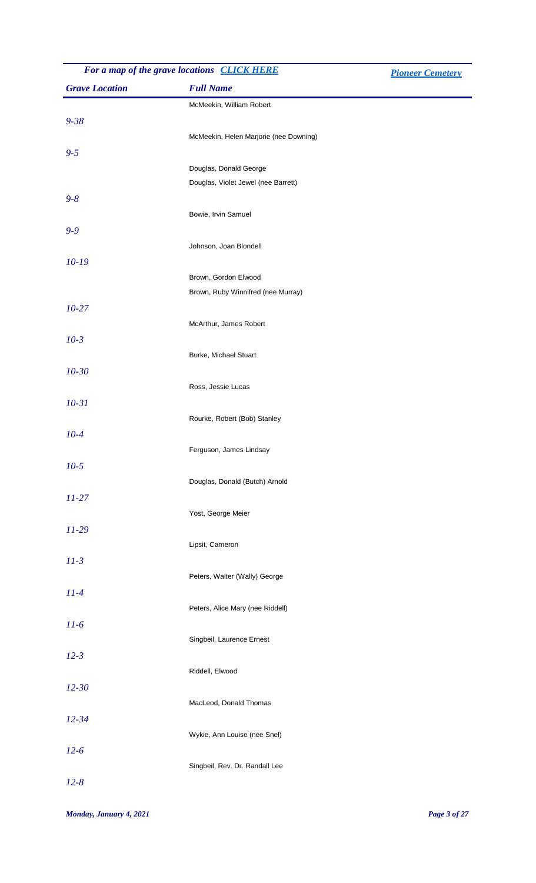|                       | For a map of the grave locations CLICK HERE                | <b>Pioneer Cemetery</b> |
|-----------------------|------------------------------------------------------------|-------------------------|
| <b>Grave Location</b> | <b>Full Name</b>                                           |                         |
|                       | McMeekin, William Robert                                   |                         |
| $9 - 38$              |                                                            |                         |
|                       | McMeekin, Helen Marjorie (nee Downing)                     |                         |
| $9 - 5$               |                                                            |                         |
|                       | Douglas, Donald George                                     |                         |
|                       | Douglas, Violet Jewel (nee Barrett)                        |                         |
| $9 - 8$               |                                                            |                         |
|                       | Bowie, Irvin Samuel                                        |                         |
| $9 - 9$               |                                                            |                         |
|                       | Johnson, Joan Blondell                                     |                         |
| $10-19$               |                                                            |                         |
|                       | Brown, Gordon Elwood<br>Brown, Ruby Winnifred (nee Murray) |                         |
| $10 - 27$             |                                                            |                         |
|                       | McArthur, James Robert                                     |                         |
| $10-3$                |                                                            |                         |
|                       | Burke, Michael Stuart                                      |                         |
| $10 - 30$             |                                                            |                         |
|                       | Ross, Jessie Lucas                                         |                         |
| $10 - 31$             |                                                            |                         |
|                       | Rourke, Robert (Bob) Stanley                               |                         |
| $10-4$                |                                                            |                         |
|                       | Ferguson, James Lindsay                                    |                         |
| $10-5$                |                                                            |                         |
|                       | Douglas, Donald (Butch) Arnold                             |                         |
| $11 - 27$             |                                                            |                         |
|                       | Yost, George Meier                                         |                         |
| $11-29$               |                                                            |                         |
|                       | Lipsit, Cameron                                            |                         |
| $11-3$                |                                                            |                         |
|                       | Peters, Walter (Wally) George                              |                         |
| $11-4$                |                                                            |                         |
|                       | Peters, Alice Mary (nee Riddell)                           |                         |
| $11-6$                |                                                            |                         |
|                       | Singbeil, Laurence Ernest                                  |                         |
| $12 - 3$              |                                                            |                         |
|                       | Riddell, Elwood                                            |                         |
| $12 - 30$             |                                                            |                         |
|                       | MacLeod, Donald Thomas                                     |                         |
| $12 - 34$             |                                                            |                         |
|                       | Wykie, Ann Louise (nee Snel)                               |                         |
| $12-6$                |                                                            |                         |
|                       | Singbeil, Rev. Dr. Randall Lee                             |                         |
| $12 - 8$              |                                                            |                         |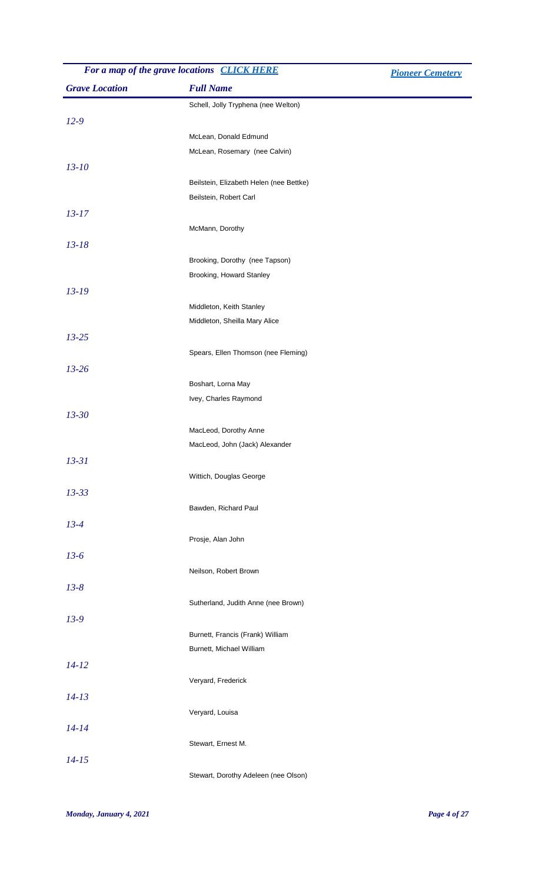| For a map of the grave locations CLICK HERE |                                         | <b>Pioneer Cemetery</b> |
|---------------------------------------------|-----------------------------------------|-------------------------|
| <b>Grave Location</b>                       | <b>Full Name</b>                        |                         |
|                                             | Schell, Jolly Tryphena (nee Welton)     |                         |
| $12-9$                                      |                                         |                         |
|                                             | McLean, Donald Edmund                   |                         |
|                                             | McLean, Rosemary (nee Calvin)           |                         |
| $13 - 10$                                   |                                         |                         |
|                                             | Beilstein, Elizabeth Helen (nee Bettke) |                         |
|                                             | Beilstein, Robert Carl                  |                         |
| $13 - 17$                                   |                                         |                         |
|                                             | McMann, Dorothy                         |                         |
| $13 - 18$                                   |                                         |                         |
|                                             | Brooking, Dorothy (nee Tapson)          |                         |
|                                             | Brooking, Howard Stanley                |                         |
| $13 - 19$                                   |                                         |                         |
|                                             | Middleton, Keith Stanley                |                         |
|                                             | Middleton, Sheilla Mary Alice           |                         |
| $13 - 25$                                   |                                         |                         |
|                                             | Spears, Ellen Thomson (nee Fleming)     |                         |
| $13 - 26$                                   |                                         |                         |
|                                             | Boshart, Lorna May                      |                         |
|                                             | Ivey, Charles Raymond                   |                         |
| $13 - 30$                                   |                                         |                         |
|                                             | MacLeod, Dorothy Anne                   |                         |
|                                             | MacLeod, John (Jack) Alexander          |                         |
| $13 - 31$                                   |                                         |                         |
|                                             | Wittich, Douglas George                 |                         |
| $13 - 33$                                   |                                         |                         |
|                                             | Bawden, Richard Paul                    |                         |
| $13 - 4$                                    |                                         |                         |
|                                             | Prosje, Alan John                       |                         |
| $13-6$                                      |                                         |                         |
|                                             | Neilson, Robert Brown                   |                         |
| $13 - 8$                                    |                                         |                         |
|                                             | Sutherland, Judith Anne (nee Brown)     |                         |
| $13-9$                                      |                                         |                         |
|                                             | Burnett, Francis (Frank) William        |                         |
|                                             | Burnett, Michael William                |                         |
| $14 - 12$                                   |                                         |                         |
|                                             | Veryard, Frederick                      |                         |
| $14 - 13$                                   |                                         |                         |
|                                             | Veryard, Louisa                         |                         |
| $14 - 14$                                   |                                         |                         |
|                                             | Stewart, Ernest M.                      |                         |
| $14 - 15$                                   |                                         |                         |
|                                             | Stewart, Dorothy Adeleen (nee Olson)    |                         |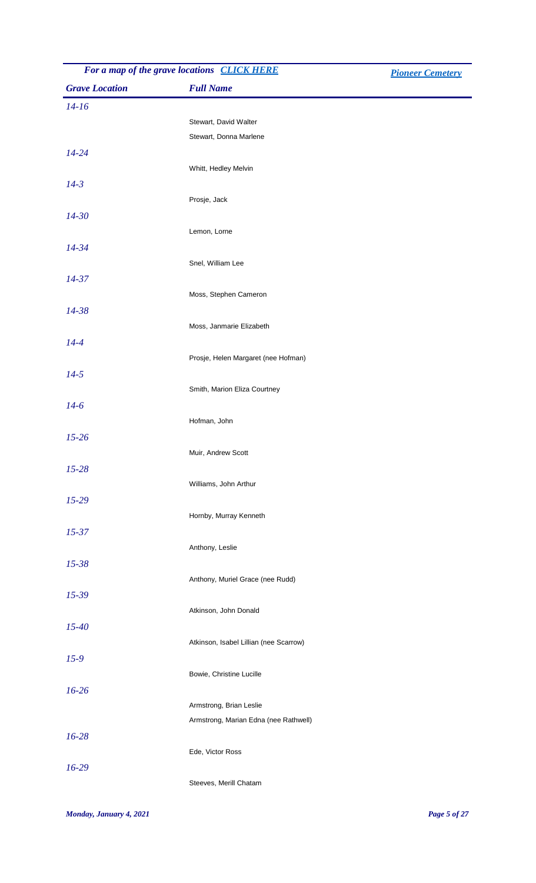| For a map of the grave locations CLICK HERE |                                        | <b>Pioneer Cemetery</b> |
|---------------------------------------------|----------------------------------------|-------------------------|
| <b>Grave Location</b>                       | <b>Full Name</b>                       |                         |
| $14 - 16$                                   |                                        |                         |
|                                             | Stewart, David Walter                  |                         |
|                                             | Stewart, Donna Marlene                 |                         |
| $14 - 24$                                   |                                        |                         |
|                                             | Whitt, Hedley Melvin                   |                         |
| $14 - 3$                                    |                                        |                         |
|                                             | Prosje, Jack                           |                         |
| $14 - 30$                                   |                                        |                         |
|                                             | Lemon, Lorne                           |                         |
| $14 - 34$                                   |                                        |                         |
|                                             | Snel, William Lee                      |                         |
| $14 - 37$                                   |                                        |                         |
|                                             | Moss, Stephen Cameron                  |                         |
| 14-38                                       |                                        |                         |
|                                             | Moss, Janmarie Elizabeth               |                         |
| $14 - 4$                                    |                                        |                         |
|                                             | Prosje, Helen Margaret (nee Hofman)    |                         |
| $14 - 5$                                    |                                        |                         |
|                                             | Smith, Marion Eliza Courtney           |                         |
| $14-6$                                      |                                        |                         |
|                                             | Hofman, John                           |                         |
| $15 - 26$                                   |                                        |                         |
|                                             | Muir, Andrew Scott                     |                         |
| $15 - 28$                                   | Williams, John Arthur                  |                         |
| $15 - 29$                                   |                                        |                         |
|                                             | Hornby, Murray Kenneth                 |                         |
| $15 - 37$                                   |                                        |                         |
|                                             | Anthony, Leslie                        |                         |
| $15 - 38$                                   |                                        |                         |
|                                             | Anthony, Muriel Grace (nee Rudd)       |                         |
| $15 - 39$                                   |                                        |                         |
|                                             | Atkinson, John Donald                  |                         |
| $15 - 40$                                   |                                        |                         |
|                                             | Atkinson, Isabel Lillian (nee Scarrow) |                         |
| $15-9$                                      |                                        |                         |
|                                             | Bowie, Christine Lucille               |                         |
| $16 - 26$                                   |                                        |                         |
|                                             | Armstrong, Brian Leslie                |                         |
|                                             | Armstrong, Marian Edna (nee Rathwell)  |                         |
| $16 - 28$                                   |                                        |                         |
|                                             | Ede, Victor Ross                       |                         |
| $16-29$                                     |                                        |                         |
|                                             | Steeves, Merill Chatam                 |                         |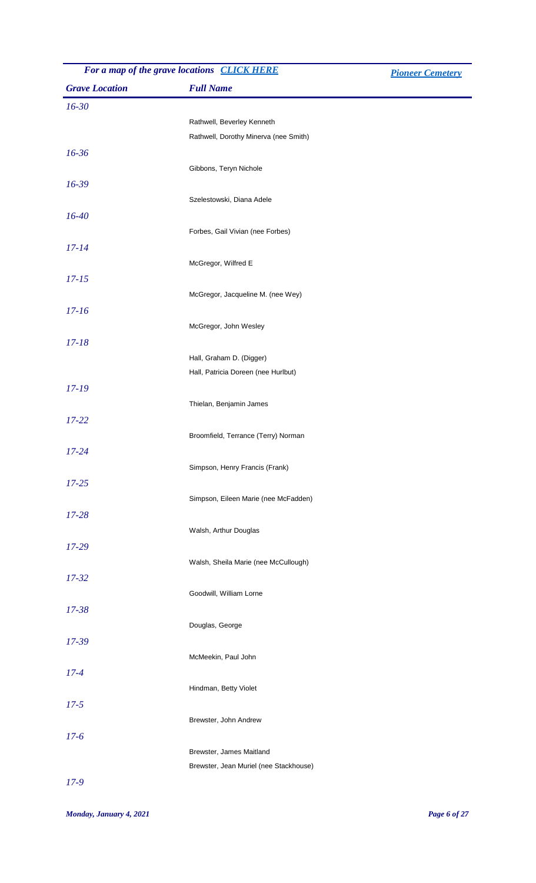| For a map of the grave locations CLICK HERE |                                        | <b>Pioneer Cemetery</b> |
|---------------------------------------------|----------------------------------------|-------------------------|
| <b>Grave Location</b>                       | <b>Full Name</b>                       |                         |
| $16 - 30$                                   |                                        |                         |
|                                             | Rathwell, Beverley Kenneth             |                         |
|                                             | Rathwell, Dorothy Minerva (nee Smith)  |                         |
| $16 - 36$                                   |                                        |                         |
|                                             | Gibbons, Teryn Nichole                 |                         |
| $16 - 39$                                   |                                        |                         |
|                                             | Szelestowski, Diana Adele              |                         |
| $16 - 40$                                   |                                        |                         |
|                                             | Forbes, Gail Vivian (nee Forbes)       |                         |
| $17 - 14$                                   |                                        |                         |
|                                             | McGregor, Wilfred E                    |                         |
| $17 - 15$                                   |                                        |                         |
|                                             | McGregor, Jacqueline M. (nee Wey)      |                         |
| $17 - 16$                                   |                                        |                         |
|                                             | McGregor, John Wesley                  |                         |
| $17 - 18$                                   |                                        |                         |
|                                             | Hall, Graham D. (Digger)               |                         |
|                                             | Hall, Patricia Doreen (nee Hurlbut)    |                         |
| $17 - 19$                                   |                                        |                         |
|                                             | Thielan, Benjamin James                |                         |
| $17 - 22$                                   |                                        |                         |
|                                             | Broomfield, Terrance (Terry) Norman    |                         |
| $17 - 24$                                   |                                        |                         |
|                                             | Simpson, Henry Francis (Frank)         |                         |
| $17 - 25$                                   |                                        |                         |
|                                             | Simpson, Eileen Marie (nee McFadden)   |                         |
| $17 - 28$                                   |                                        |                         |
|                                             | Walsh, Arthur Douglas                  |                         |
| $17 - 29$                                   |                                        |                         |
|                                             | Walsh, Sheila Marie (nee McCullough)   |                         |
| $17 - 32$                                   |                                        |                         |
|                                             | Goodwill, William Lorne                |                         |
| $17 - 38$                                   |                                        |                         |
|                                             | Douglas, George                        |                         |
| $17 - 39$                                   |                                        |                         |
|                                             | McMeekin, Paul John                    |                         |
| $17 - 4$                                    |                                        |                         |
|                                             | Hindman, Betty Violet                  |                         |
| $17 - 5$                                    |                                        |                         |
|                                             | Brewster, John Andrew                  |                         |
| $17 - 6$                                    |                                        |                         |
|                                             | Brewster, James Maitland               |                         |
|                                             | Brewster, Jean Muriel (nee Stackhouse) |                         |
| $17-9$                                      |                                        |                         |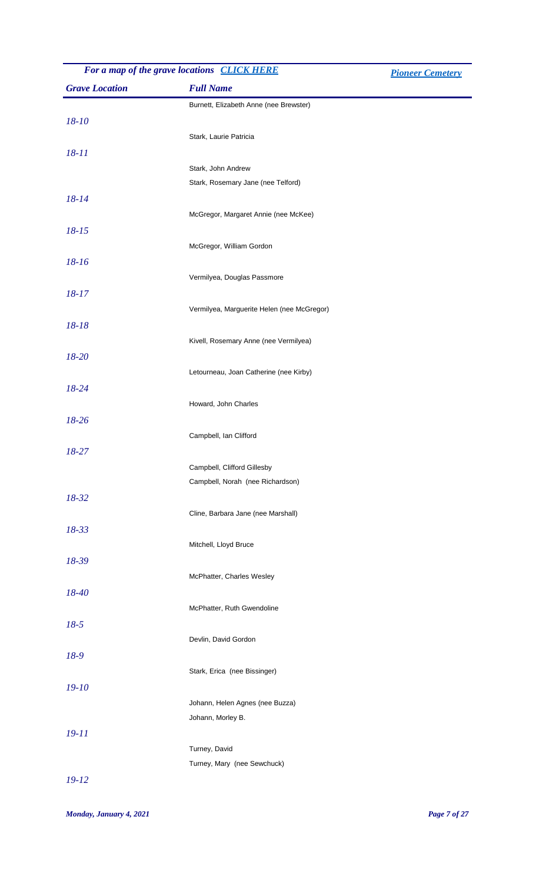| For a map of the grave locations CLICK HERE |                                                      | <b>Pioneer Cemetery</b> |
|---------------------------------------------|------------------------------------------------------|-------------------------|
| <b>Grave Location</b>                       | <b>Full Name</b>                                     |                         |
|                                             | Burnett, Elizabeth Anne (nee Brewster)               |                         |
| $18 - 10$                                   |                                                      |                         |
|                                             | Stark, Laurie Patricia                               |                         |
| $18 - 11$                                   |                                                      |                         |
|                                             | Stark, John Andrew                                   |                         |
|                                             | Stark, Rosemary Jane (nee Telford)                   |                         |
| 18-14                                       |                                                      |                         |
|                                             | McGregor, Margaret Annie (nee McKee)                 |                         |
| $18 - 15$                                   |                                                      |                         |
|                                             | McGregor, William Gordon                             |                         |
| 18-16                                       |                                                      |                         |
|                                             | Vermilyea, Douglas Passmore                          |                         |
| $18 - 17$                                   |                                                      |                         |
| 18-18                                       | Vermilyea, Marguerite Helen (nee McGregor)           |                         |
|                                             | Kivell, Rosemary Anne (nee Vermilyea)                |                         |
| 18-20                                       |                                                      |                         |
|                                             | Letourneau, Joan Catherine (nee Kirby)               |                         |
| 18-24                                       |                                                      |                         |
|                                             | Howard, John Charles                                 |                         |
| 18-26                                       |                                                      |                         |
|                                             | Campbell, Ian Clifford                               |                         |
| 18-27                                       |                                                      |                         |
|                                             | Campbell, Clifford Gillesby                          |                         |
|                                             | Campbell, Norah (nee Richardson)                     |                         |
| 18-32                                       |                                                      |                         |
|                                             | Cline, Barbara Jane (nee Marshall)                   |                         |
| 18-33                                       |                                                      |                         |
|                                             | Mitchell, Lloyd Bruce                                |                         |
| 18-39                                       |                                                      |                         |
|                                             | McPhatter, Charles Wesley                            |                         |
| 18-40                                       |                                                      |                         |
|                                             | McPhatter, Ruth Gwendoline                           |                         |
| $18-5$                                      |                                                      |                         |
|                                             | Devlin, David Gordon                                 |                         |
| 18-9                                        |                                                      |                         |
|                                             | Stark, Erica (nee Bissinger)                         |                         |
| $19 - 10$                                   |                                                      |                         |
|                                             | Johann, Helen Agnes (nee Buzza)<br>Johann, Morley B. |                         |
| $19 - 11$                                   |                                                      |                         |
|                                             | Turney, David                                        |                         |
|                                             | Turney, Mary (nee Sewchuck)                          |                         |
| $19 - 12$                                   |                                                      |                         |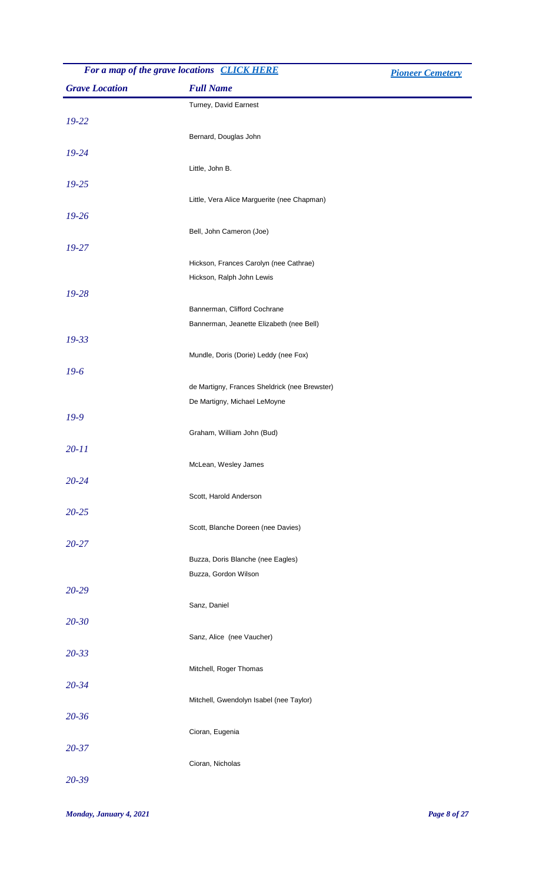| For a map of the grave locations CLICK HERE<br><b>Pioneer Cemetery</b> |                                                                     |  |
|------------------------------------------------------------------------|---------------------------------------------------------------------|--|
| <b>Grave Location</b>                                                  | <b>Full Name</b>                                                    |  |
|                                                                        | Turney, David Earnest                                               |  |
| $19 - 22$                                                              |                                                                     |  |
|                                                                        | Bernard, Douglas John                                               |  |
| $19 - 24$                                                              |                                                                     |  |
|                                                                        | Little, John B.                                                     |  |
| $19 - 25$                                                              |                                                                     |  |
|                                                                        | Little, Vera Alice Marguerite (nee Chapman)                         |  |
| $19 - 26$                                                              |                                                                     |  |
|                                                                        | Bell, John Cameron (Joe)                                            |  |
| $19 - 27$                                                              |                                                                     |  |
|                                                                        | Hickson, Frances Carolyn (nee Cathrae)<br>Hickson, Ralph John Lewis |  |
| $19 - 28$                                                              |                                                                     |  |
|                                                                        | Bannerman, Clifford Cochrane                                        |  |
|                                                                        | Bannerman, Jeanette Elizabeth (nee Bell)                            |  |
| $19 - 33$                                                              |                                                                     |  |
|                                                                        | Mundle, Doris (Dorie) Leddy (nee Fox)                               |  |
| $19-6$                                                                 |                                                                     |  |
|                                                                        | de Martigny, Frances Sheldrick (nee Brewster)                       |  |
|                                                                        | De Martigny, Michael LeMoyne                                        |  |
| $19-9$                                                                 |                                                                     |  |
|                                                                        | Graham, William John (Bud)                                          |  |
| $20 - 11$                                                              |                                                                     |  |
|                                                                        | McLean, Wesley James                                                |  |
| $20 - 24$                                                              |                                                                     |  |
|                                                                        | Scott, Harold Anderson                                              |  |
| $20 - 25$                                                              |                                                                     |  |
| $20 - 27$                                                              | Scott, Blanche Doreen (nee Davies)                                  |  |
|                                                                        | Buzza, Doris Blanche (nee Eagles)                                   |  |
|                                                                        | Buzza, Gordon Wilson                                                |  |
| 20-29                                                                  |                                                                     |  |
|                                                                        | Sanz, Daniel                                                        |  |
| $20 - 30$                                                              |                                                                     |  |
|                                                                        | Sanz, Alice (nee Vaucher)                                           |  |
| $20 - 33$                                                              |                                                                     |  |
|                                                                        | Mitchell, Roger Thomas                                              |  |
| $20 - 34$                                                              |                                                                     |  |
|                                                                        | Mitchell, Gwendolyn Isabel (nee Taylor)                             |  |
| $20 - 36$                                                              |                                                                     |  |
|                                                                        | Cioran, Eugenia                                                     |  |
| $20 - 37$                                                              |                                                                     |  |
|                                                                        | Cioran, Nicholas                                                    |  |
| 20-39                                                                  |                                                                     |  |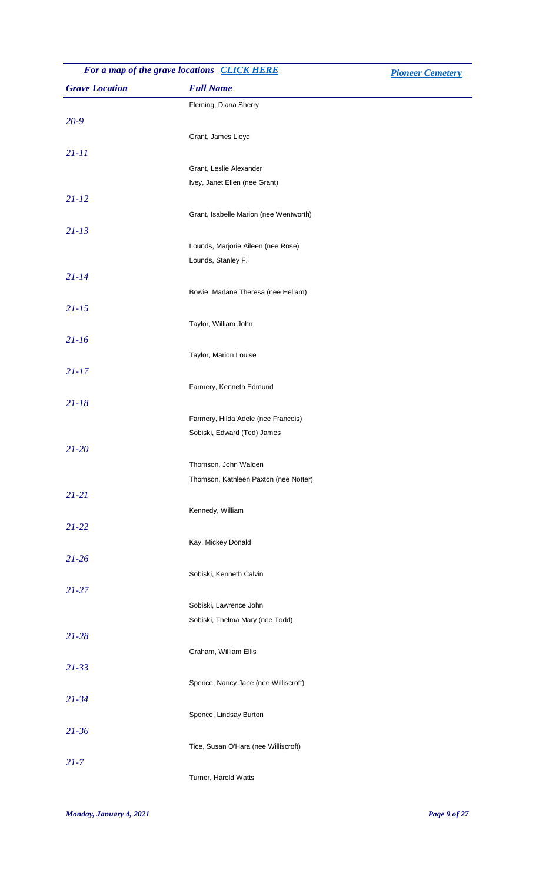| For a map of the grave locations <b>CLICK HERE</b> |                                                           | <b>Pioneer Cemetery</b> |
|----------------------------------------------------|-----------------------------------------------------------|-------------------------|
| <b>Grave Location</b>                              | <b>Full Name</b>                                          |                         |
|                                                    | Fleming, Diana Sherry                                     |                         |
| $20 - 9$                                           |                                                           |                         |
|                                                    | Grant, James Lloyd                                        |                         |
| $21 - 11$                                          |                                                           |                         |
|                                                    | Grant, Leslie Alexander                                   |                         |
|                                                    | Ivey, Janet Ellen (nee Grant)                             |                         |
| $21 - 12$                                          |                                                           |                         |
|                                                    | Grant, Isabelle Marion (nee Wentworth)                    |                         |
| $21 - 13$                                          |                                                           |                         |
|                                                    | Lounds, Marjorie Aileen (nee Rose)                        |                         |
|                                                    | Lounds, Stanley F.                                        |                         |
| $21 - 14$                                          |                                                           |                         |
|                                                    | Bowie, Marlane Theresa (nee Hellam)                       |                         |
| $21 - 15$                                          |                                                           |                         |
|                                                    | Taylor, William John                                      |                         |
| $21 - 16$                                          |                                                           |                         |
|                                                    | Taylor, Marion Louise                                     |                         |
| $21 - 17$                                          |                                                           |                         |
|                                                    | Farmery, Kenneth Edmund                                   |                         |
| $21 - 18$                                          |                                                           |                         |
|                                                    | Farmery, Hilda Adele (nee Francois)                       |                         |
|                                                    | Sobiski, Edward (Ted) James                               |                         |
| $21 - 20$                                          |                                                           |                         |
|                                                    | Thomson, John Walden                                      |                         |
|                                                    | Thomson, Kathleen Paxton (nee Notter)                     |                         |
| $21 - 21$                                          |                                                           |                         |
|                                                    | Kennedy, William                                          |                         |
| $21 - 22$                                          |                                                           |                         |
|                                                    | Kay, Mickey Donald                                        |                         |
| $21 - 26$                                          |                                                           |                         |
|                                                    | Sobiski, Kenneth Calvin                                   |                         |
| $21 - 27$                                          |                                                           |                         |
|                                                    | Sobiski, Lawrence John<br>Sobiski, Thelma Mary (nee Todd) |                         |
| $21 - 28$                                          |                                                           |                         |
|                                                    | Graham, William Ellis                                     |                         |
| $21 - 33$                                          |                                                           |                         |
|                                                    | Spence, Nancy Jane (nee Williscroft)                      |                         |
| $21 - 34$                                          |                                                           |                         |
|                                                    | Spence, Lindsay Burton                                    |                         |
| $21 - 36$                                          |                                                           |                         |
|                                                    | Tice, Susan O'Hara (nee Williscroft)                      |                         |
| $21 - 7$                                           |                                                           |                         |
|                                                    | Turner, Harold Watts                                      |                         |
|                                                    |                                                           |                         |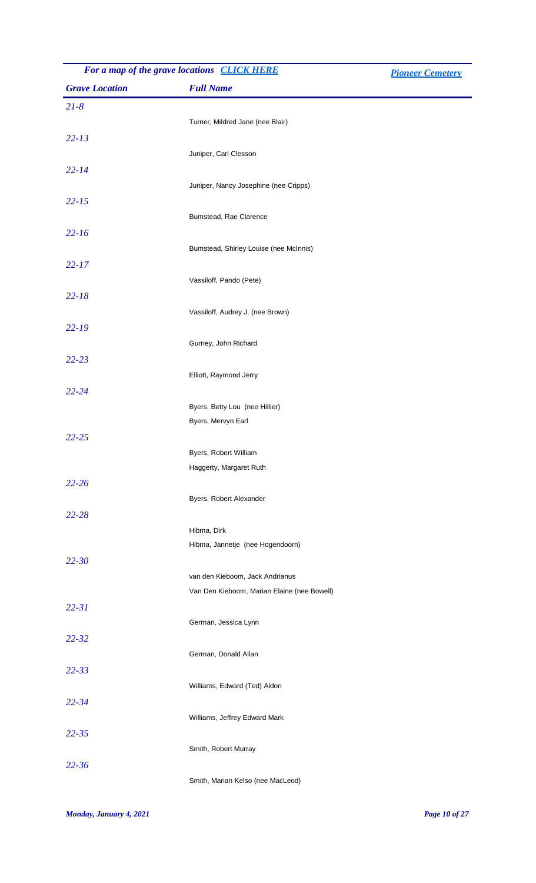| For a map of the grave locations <b>CLICK HERE</b> |                                                 | <b>Pioneer Cemetery</b> |
|----------------------------------------------------|-------------------------------------------------|-------------------------|
| <b>Grave Location</b>                              | <b>Full Name</b>                                |                         |
| $21 - 8$                                           |                                                 |                         |
|                                                    | Turner, Mildred Jane (nee Blair)                |                         |
| $22 - 13$                                          |                                                 |                         |
|                                                    | Juniper, Carl Clesson                           |                         |
| $22 - 14$                                          |                                                 |                         |
|                                                    | Juniper, Nancy Josephine (nee Cripps)           |                         |
| $22 - 15$                                          |                                                 |                         |
|                                                    | Bumstead, Rae Clarence                          |                         |
| $22 - 16$                                          |                                                 |                         |
|                                                    | Bumstead, Shirley Louise (nee McInnis)          |                         |
| $22 - 17$                                          |                                                 |                         |
|                                                    | Vassiloff, Pando (Pete)                         |                         |
| $22 - 18$                                          | Vassiloff, Audrey J. (nee Brown)                |                         |
| $22 - 19$                                          |                                                 |                         |
|                                                    | Gurney, John Richard                            |                         |
| $22 - 23$                                          |                                                 |                         |
|                                                    | Elliott, Raymond Jerry                          |                         |
| $22 - 24$                                          |                                                 |                         |
|                                                    | Byers, Betty Lou (nee Hillier)                  |                         |
|                                                    | Byers, Mervyn Earl                              |                         |
| $22 - 25$                                          |                                                 |                         |
|                                                    | Byers, Robert William                           |                         |
|                                                    | Haggerty, Margaret Ruth                         |                         |
| $22 - 26$                                          |                                                 |                         |
|                                                    | Byers, Robert Alexander                         |                         |
| $22 - 28$                                          |                                                 |                         |
|                                                    | Hibma, Dirk<br>Hibma, Jannetje (nee Hogendoorn) |                         |
| $22 - 30$                                          |                                                 |                         |
|                                                    | van den Kieboom, Jack Andrianus                 |                         |
|                                                    | Van Den Kieboom, Marian Elaine (nee Bowell)     |                         |
| $22 - 31$                                          |                                                 |                         |
|                                                    | German, Jessica Lynn                            |                         |
| $22 - 32$                                          |                                                 |                         |
|                                                    | German, Donald Allan                            |                         |
| $22 - 33$                                          |                                                 |                         |
|                                                    | Williams, Edward (Ted) Aldon                    |                         |
| $22 - 34$                                          |                                                 |                         |
|                                                    | Williams, Jeffrey Edward Mark                   |                         |
| $22 - 35$                                          |                                                 |                         |
|                                                    | Smith, Robert Murray                            |                         |
| $22 - 36$                                          | Smith, Marian Kelso (nee MacLeod)               |                         |
|                                                    |                                                 |                         |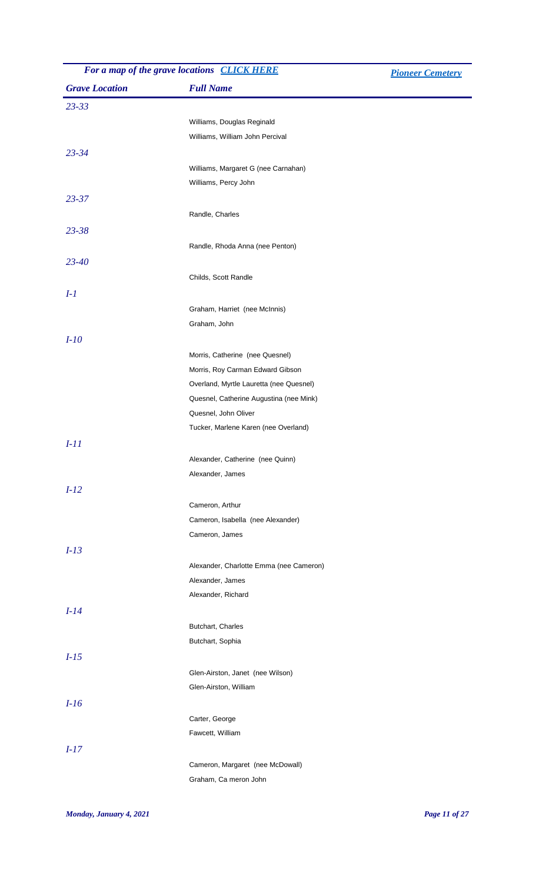| For a map of the grave locations CLICK HERE |                                         | <b>Pioneer Cemetery</b> |
|---------------------------------------------|-----------------------------------------|-------------------------|
| <b>Grave Location</b>                       | <b>Full Name</b>                        |                         |
| $23 - 33$                                   |                                         |                         |
|                                             | Williams, Douglas Reginald              |                         |
|                                             | Williams, William John Percival         |                         |
| $23 - 34$                                   |                                         |                         |
|                                             | Williams, Margaret G (nee Carnahan)     |                         |
|                                             | Williams, Percy John                    |                         |
| $23 - 37$                                   |                                         |                         |
|                                             |                                         |                         |
|                                             | Randle, Charles                         |                         |
| $23 - 38$                                   |                                         |                         |
|                                             | Randle, Rhoda Anna (nee Penton)         |                         |
| $23 - 40$                                   |                                         |                         |
|                                             | Childs, Scott Randle                    |                         |
| $I-1$                                       |                                         |                         |
|                                             | Graham, Harriet (nee McInnis)           |                         |
|                                             | Graham, John                            |                         |
| $I-10$                                      |                                         |                         |
|                                             | Morris, Catherine (nee Quesnel)         |                         |
|                                             | Morris, Roy Carman Edward Gibson        |                         |
|                                             | Overland, Myrtle Lauretta (nee Quesnel) |                         |
|                                             | Quesnel, Catherine Augustina (nee Mink) |                         |
|                                             | Quesnel, John Oliver                    |                         |
|                                             | Tucker, Marlene Karen (nee Overland)    |                         |
| $I-11$                                      |                                         |                         |
|                                             | Alexander, Catherine (nee Quinn)        |                         |
|                                             | Alexander, James                        |                         |
| $I-12$                                      |                                         |                         |
|                                             | Cameron, Arthur                         |                         |
|                                             | Cameron, Isabella (nee Alexander)       |                         |
|                                             | Cameron, James                          |                         |
|                                             |                                         |                         |
| $I-13$                                      |                                         |                         |
|                                             | Alexander, Charlotte Emma (nee Cameron) |                         |
|                                             | Alexander, James                        |                         |
|                                             | Alexander, Richard                      |                         |
| $I-14$                                      |                                         |                         |
|                                             | Butchart, Charles                       |                         |
|                                             | Butchart, Sophia                        |                         |
| $I-15$                                      |                                         |                         |
|                                             | Glen-Airston, Janet (nee Wilson)        |                         |
|                                             | Glen-Airston, William                   |                         |
| $I-16$                                      |                                         |                         |
|                                             | Carter, George                          |                         |
|                                             | Fawcett, William                        |                         |
| $I-17$                                      |                                         |                         |
|                                             | Cameron, Margaret (nee McDowall)        |                         |
|                                             | Graham, Ca meron John                   |                         |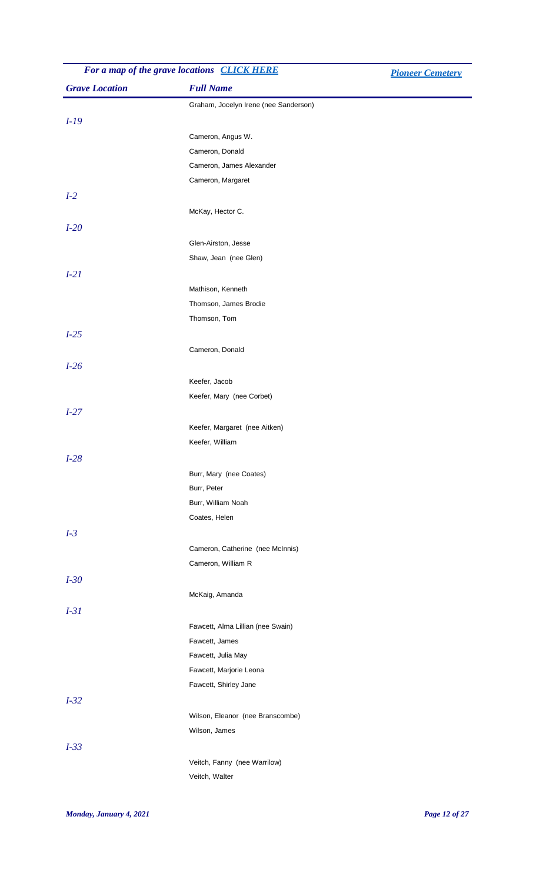| For a map of the grave locations CLICK HERE |                                                     | <b>Pioneer Cemetery</b> |
|---------------------------------------------|-----------------------------------------------------|-------------------------|
| <b>Grave Location</b>                       | <b>Full Name</b>                                    |                         |
|                                             | Graham, Jocelyn Irene (nee Sanderson)               |                         |
| $I-19$                                      |                                                     |                         |
|                                             | Cameron, Angus W.                                   |                         |
|                                             | Cameron, Donald                                     |                         |
|                                             | Cameron, James Alexander                            |                         |
|                                             | Cameron, Margaret                                   |                         |
| $I-2$                                       |                                                     |                         |
|                                             | McKay, Hector C.                                    |                         |
| $I-20$                                      |                                                     |                         |
|                                             | Glen-Airston, Jesse                                 |                         |
|                                             | Shaw, Jean (nee Glen)                               |                         |
| $I-21$                                      |                                                     |                         |
|                                             | Mathison, Kenneth                                   |                         |
|                                             | Thomson, James Brodie                               |                         |
|                                             | Thomson, Tom                                        |                         |
| $I-25$                                      |                                                     |                         |
|                                             | Cameron, Donald                                     |                         |
| $I-26$                                      |                                                     |                         |
|                                             | Keefer, Jacob                                       |                         |
|                                             | Keefer, Mary (nee Corbet)                           |                         |
| $I-27$                                      |                                                     |                         |
|                                             | Keefer, Margaret (nee Aitken)                       |                         |
|                                             | Keefer, William                                     |                         |
| $I-28$                                      |                                                     |                         |
|                                             | Burr, Mary (nee Coates)                             |                         |
|                                             | Burr, Peter                                         |                         |
|                                             | Burr, William Noah                                  |                         |
|                                             | Coates, Helen                                       |                         |
| $I-3$                                       |                                                     |                         |
|                                             | Cameron, Catherine (nee McInnis)                    |                         |
|                                             | Cameron, William R                                  |                         |
| $I-30$                                      |                                                     |                         |
|                                             | McKaig, Amanda                                      |                         |
| $I-31$                                      |                                                     |                         |
|                                             |                                                     |                         |
|                                             | Fawcett, Alma Lillian (nee Swain)<br>Fawcett, James |                         |
|                                             | Fawcett, Julia May                                  |                         |
|                                             | Fawcett, Marjorie Leona                             |                         |
|                                             | Fawcett, Shirley Jane                               |                         |
| $I-32$                                      |                                                     |                         |
|                                             | Wilson, Eleanor (nee Branscombe)                    |                         |
|                                             | Wilson, James                                       |                         |
| $I-33$                                      |                                                     |                         |
|                                             | Veitch, Fanny (nee Warrilow)                        |                         |
|                                             | Veitch, Walter                                      |                         |
|                                             |                                                     |                         |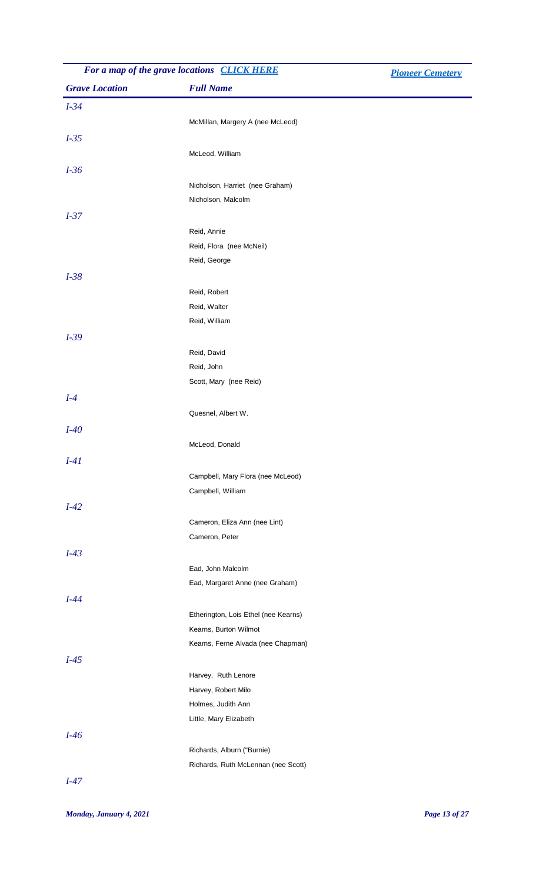| For a map of the grave locations CLICK HERE |                                      | <b>Pioneer Cemetery</b> |
|---------------------------------------------|--------------------------------------|-------------------------|
| <b>Grave Location</b>                       | <b>Full Name</b>                     |                         |
| $I-34$                                      |                                      |                         |
|                                             | McMillan, Margery A (nee McLeod)     |                         |
| $I-35$                                      |                                      |                         |
|                                             | McLeod, William                      |                         |
| $I-36$                                      |                                      |                         |
|                                             | Nicholson, Harriet (nee Graham)      |                         |
|                                             | Nicholson, Malcolm                   |                         |
| $I-37$                                      |                                      |                         |
|                                             | Reid, Annie                          |                         |
|                                             | Reid, Flora (nee McNeil)             |                         |
|                                             | Reid, George                         |                         |
| $I-38$                                      |                                      |                         |
|                                             | Reid, Robert                         |                         |
|                                             | Reid, Walter                         |                         |
|                                             | Reid, William                        |                         |
| $I-39$                                      |                                      |                         |
|                                             | Reid, David                          |                         |
|                                             | Reid, John                           |                         |
|                                             | Scott, Mary (nee Reid)               |                         |
| $I-4$                                       |                                      |                         |
|                                             | Quesnel, Albert W.                   |                         |
| $I-40$                                      |                                      |                         |
|                                             | McLeod, Donald                       |                         |
| $I-41$                                      |                                      |                         |
|                                             | Campbell, Mary Flora (nee McLeod)    |                         |
|                                             | Campbell, William                    |                         |
| $I-42$                                      |                                      |                         |
|                                             | Cameron, Eliza Ann (nee Lint)        |                         |
|                                             | Cameron, Peter                       |                         |
| $I-43$                                      |                                      |                         |
|                                             | Ead, John Malcolm                    |                         |
|                                             | Ead, Margaret Anne (nee Graham)      |                         |
| $I-44$                                      |                                      |                         |
|                                             | Etherington, Lois Ethel (nee Kearns) |                         |
|                                             | Kearns, Burton Wilmot                |                         |
|                                             | Kearns, Ferne Alvada (nee Chapman)   |                         |
| $I-45$                                      |                                      |                         |
|                                             | Harvey, Ruth Lenore                  |                         |
|                                             | Harvey, Robert Milo                  |                         |
|                                             | Holmes, Judith Ann                   |                         |
|                                             | Little, Mary Elizabeth               |                         |
| $I-46$                                      |                                      |                         |
|                                             | Richards, Alburn ("Burnie)           |                         |
|                                             | Richards, Ruth McLennan (nee Scott)  |                         |
| $I-47$                                      |                                      |                         |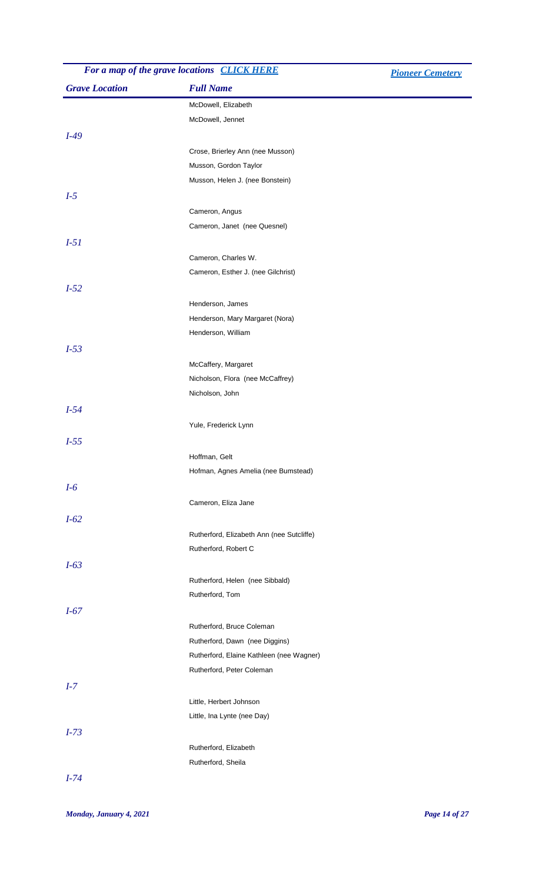| For a map of the grave locations CLICK HERE |                                  | <b>Pioneer Cemetery</b> |
|---------------------------------------------|----------------------------------|-------------------------|
| <b>Grave Location</b>                       | <b>Full Name</b>                 |                         |
|                                             | McDowell, Elizabeth              |                         |
|                                             | McDowell, Jennet                 |                         |
| $I-49$                                      |                                  |                         |
|                                             | Crose, Brierley Ann (nee Musson) |                         |
|                                             | Musson, Gordon Taylor            |                         |
|                                             | Musson, Helen J. (nee Bonstein)  |                         |
| $I-5$                                       |                                  |                         |
|                                             | Cameron, Angus                   |                         |
|                                             | Cameron, Janet (nee Quesnel)     |                         |
|                                             |                                  |                         |

|        | MUSSON, Helen J. (Hee Bonstein)           |
|--------|-------------------------------------------|
| $I-5$  |                                           |
|        | Cameron, Angus                            |
|        | Cameron, Janet (nee Quesnel)              |
| $I-5I$ |                                           |
|        | Cameron, Charles W.                       |
|        | Cameron, Esther J. (nee Gilchrist)        |
| $I-52$ |                                           |
|        | Henderson, James                          |
|        | Henderson, Mary Margaret (Nora)           |
|        | Henderson, William                        |
| $I-53$ |                                           |
|        | McCaffery, Margaret                       |
|        | Nicholson, Flora (nee McCaffrey)          |
|        | Nicholson, John                           |
| $I-54$ |                                           |
|        | Yule, Frederick Lynn                      |
| $I-55$ |                                           |
|        |                                           |
|        | Hoffman, Gelt                             |
|        | Hofman, Agnes Amelia (nee Bumstead)       |
| $I-6$  |                                           |
|        | Cameron, Eliza Jane                       |
| $I-62$ |                                           |
|        | Rutherford, Elizabeth Ann (nee Sutcliffe) |
|        | Rutherford, Robert C                      |
| $I-63$ |                                           |
|        | Rutherford, Helen (nee Sibbald)           |
|        | Rutherford, Tom                           |
| $I-67$ |                                           |
|        | Rutherford, Bruce Coleman                 |
|        | Rutherford, Dawn (nee Diggins)            |
|        | Rutherford, Elaine Kathleen (nee Wagner)  |
|        | Rutherford, Peter Coleman                 |
| $I-7$  |                                           |
|        | Little, Herbert Johnson                   |
|        | Little, Ina Lynte (nee Day)               |
| $I-73$ |                                           |
|        | Rutherford, Elizabeth                     |
|        | Rutherford, Sheila                        |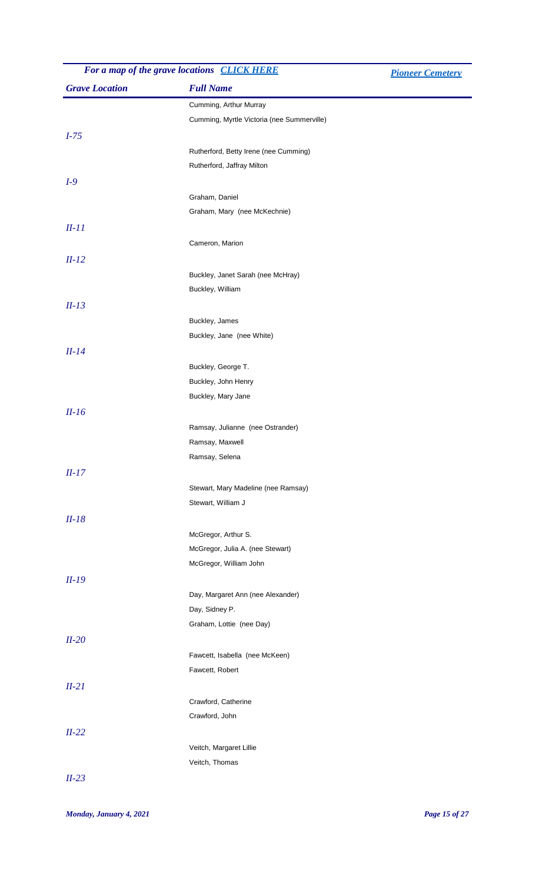| For a map of the grave locations CLICK HERE |                                                           | <b>Pioneer Cemetery</b> |
|---------------------------------------------|-----------------------------------------------------------|-------------------------|
| <b>Grave Location</b>                       | <b>Full Name</b>                                          |                         |
|                                             | Cumming, Arthur Murray                                    |                         |
|                                             | Cumming, Myrtle Victoria (nee Summerville)                |                         |
| $I-75$                                      |                                                           |                         |
|                                             | Rutherford, Betty Irene (nee Cumming)                     |                         |
|                                             | Rutherford, Jaffray Milton                                |                         |
| $I-9$                                       |                                                           |                         |
|                                             | Graham, Daniel                                            |                         |
|                                             | Graham, Mary (nee McKechnie)                              |                         |
| $II-11$                                     |                                                           |                         |
|                                             | Cameron, Marion                                           |                         |
| $II-12$                                     |                                                           |                         |
|                                             | Buckley, Janet Sarah (nee McHray)                         |                         |
|                                             | Buckley, William                                          |                         |
| $II-13$                                     |                                                           |                         |
|                                             | Buckley, James                                            |                         |
|                                             | Buckley, Jane (nee White)                                 |                         |
| $II-14$                                     |                                                           |                         |
|                                             | Buckley, George T.                                        |                         |
|                                             | Buckley, John Henry                                       |                         |
|                                             | Buckley, Mary Jane                                        |                         |
| $II-16$                                     |                                                           |                         |
|                                             | Ramsay, Julianne (nee Ostrander)                          |                         |
|                                             | Ramsay, Maxwell<br>Ramsay, Selena                         |                         |
|                                             |                                                           |                         |
| $II-17$                                     |                                                           |                         |
|                                             | Stewart, Mary Madeline (nee Ramsay)<br>Stewart, William J |                         |
| $II-18$                                     |                                                           |                         |
|                                             | McGregor, Arthur S.                                       |                         |
|                                             | McGregor, Julia A. (nee Stewart)                          |                         |
|                                             | McGregor, William John                                    |                         |
| $II-19$                                     |                                                           |                         |
|                                             | Day, Margaret Ann (nee Alexander)                         |                         |
|                                             | Day, Sidney P.                                            |                         |
|                                             | Graham, Lottie (nee Day)                                  |                         |
| $II-20$                                     |                                                           |                         |
|                                             | Fawcett, Isabella (nee McKeen)                            |                         |
|                                             | Fawcett, Robert                                           |                         |
| $II-21$                                     |                                                           |                         |
|                                             | Crawford, Catherine                                       |                         |
|                                             | Crawford, John                                            |                         |
| $II-22$                                     |                                                           |                         |
|                                             | Veitch, Margaret Lillie                                   |                         |
|                                             | Veitch, Thomas                                            |                         |
| $II-23$                                     |                                                           |                         |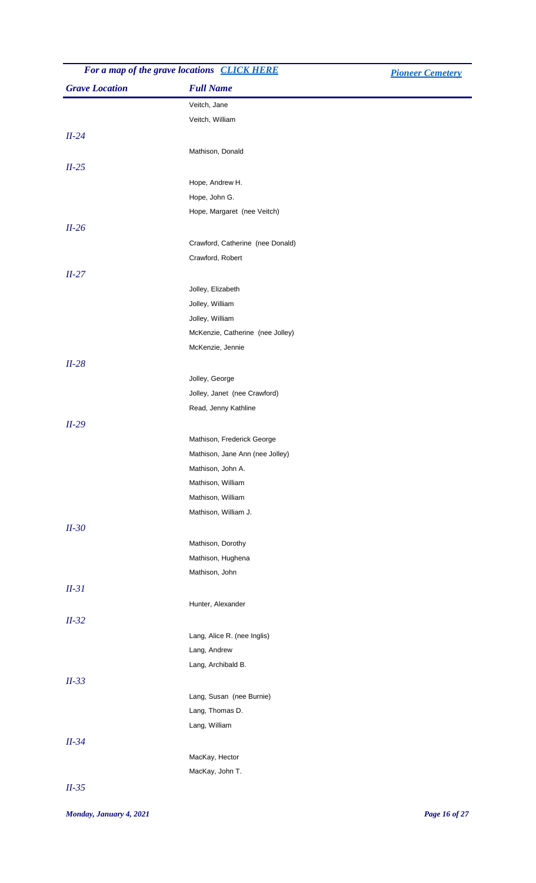| For a map of the grave locations CLICK HERE |                                  | <b>Pioneer Cemetery</b> |
|---------------------------------------------|----------------------------------|-------------------------|
| <b>Grave Location</b>                       | <b>Full Name</b>                 |                         |
|                                             | Veitch, Jane                     |                         |
|                                             | Veitch, William                  |                         |
| $II-24$                                     |                                  |                         |
|                                             | Mathison, Donald                 |                         |
| $II-25$                                     |                                  |                         |
|                                             | Hope, Andrew H.                  |                         |
|                                             | Hope, John G.                    |                         |
|                                             | Hope, Margaret (nee Veitch)      |                         |
| $II-26$                                     |                                  |                         |
|                                             | Crawford, Catherine (nee Donald) |                         |
|                                             | Crawford, Robert                 |                         |
| $II-27$                                     |                                  |                         |
|                                             | Jolley, Elizabeth                |                         |
|                                             | Jolley, William                  |                         |
|                                             | Jolley, William                  |                         |
|                                             | McKenzie, Catherine (nee Jolley) |                         |
|                                             | McKenzie, Jennie                 |                         |
| $II-28$                                     |                                  |                         |
|                                             | Jolley, George                   |                         |
|                                             | Jolley, Janet (nee Crawford)     |                         |
|                                             | Read, Jenny Kathline             |                         |
| $II-29$                                     |                                  |                         |
|                                             | Mathison, Frederick George       |                         |
|                                             | Mathison, Jane Ann (nee Jolley)  |                         |
|                                             | Mathison, John A.                |                         |
|                                             | Mathison, William                |                         |
|                                             | Mathison, William                |                         |
|                                             | Mathison, William J.             |                         |
| $II-30$                                     |                                  |                         |
|                                             | Mathison, Dorothy                |                         |
|                                             | Mathison, Hughena                |                         |
|                                             | Mathison, John                   |                         |
| $II-31$                                     |                                  |                         |
|                                             | Hunter, Alexander                |                         |
| $II-32$                                     |                                  |                         |
|                                             | Lang, Alice R. (nee Inglis)      |                         |
|                                             | Lang, Andrew                     |                         |
|                                             | Lang, Archibald B.               |                         |
| $II-33$                                     |                                  |                         |
|                                             | Lang, Susan (nee Burnie)         |                         |
|                                             | Lang, Thomas D.                  |                         |
|                                             | Lang, William                    |                         |
| $II-34$                                     |                                  |                         |
|                                             | MacKay, Hector                   |                         |
|                                             | MacKay, John T.                  |                         |
| $II-35$                                     |                                  |                         |
|                                             |                                  |                         |

## *Monday, January 4, 2021 Page 16 of 27*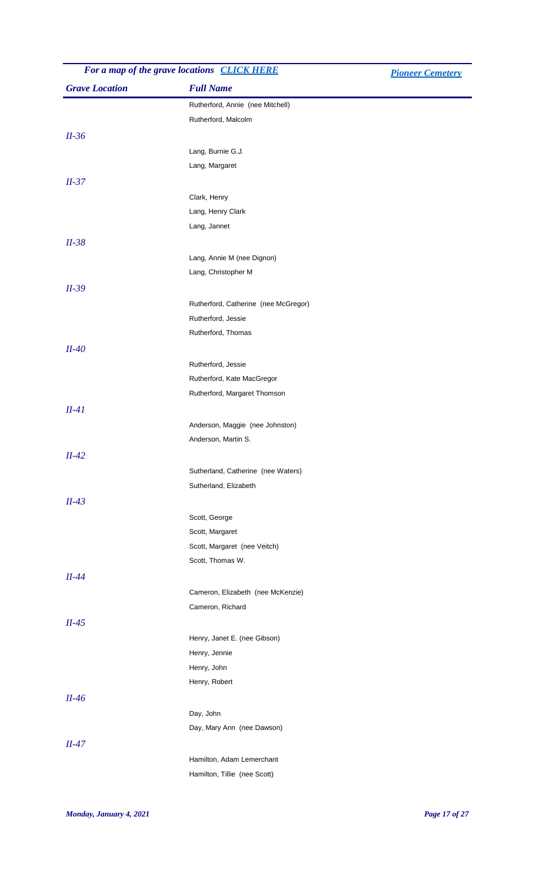| For a map of the grave locations CLICK HERE |                                      | <b>Pioneer Cemetery</b> |
|---------------------------------------------|--------------------------------------|-------------------------|
| <b>Grave Location</b>                       | <b>Full Name</b>                     |                         |
|                                             | Rutherford, Annie (nee Mitchell)     |                         |
|                                             | Rutherford, Malcolm                  |                         |
| $II-36$                                     |                                      |                         |
|                                             | Lang, Burnie G.J.                    |                         |
|                                             | Lang, Margaret                       |                         |
| $II-37$                                     |                                      |                         |
|                                             | Clark, Henry                         |                         |
|                                             | Lang, Henry Clark                    |                         |
|                                             | Lang, Jannet                         |                         |
| $II-38$                                     |                                      |                         |
|                                             | Lang, Annie M (nee Dignon)           |                         |
|                                             | Lang, Christopher M                  |                         |
|                                             |                                      |                         |
| $II-39$                                     |                                      |                         |
|                                             | Rutherford, Catherine (nee McGregor) |                         |
|                                             | Rutherford, Jessie                   |                         |
|                                             | Rutherford, Thomas                   |                         |
| $II-40$                                     |                                      |                         |
|                                             | Rutherford, Jessie                   |                         |
|                                             | Rutherford, Kate MacGregor           |                         |
|                                             | Rutherford, Margaret Thomson         |                         |
| $II-41$                                     |                                      |                         |
|                                             | Anderson, Maggie (nee Johnston)      |                         |
|                                             | Anderson, Martin S.                  |                         |
| $II-42$                                     |                                      |                         |
|                                             | Sutherland, Catherine (nee Waters)   |                         |
|                                             | Sutherland, Elizabeth                |                         |
| $II-43$                                     |                                      |                         |
|                                             | Scott, George                        |                         |
|                                             | Scott, Margaret                      |                         |
|                                             | Scott, Margaret (nee Veitch)         |                         |
|                                             | Scott, Thomas W.                     |                         |
| $II-44$                                     |                                      |                         |
|                                             | Cameron, Elizabeth (nee McKenzie)    |                         |
|                                             | Cameron, Richard                     |                         |
| $II-45$                                     |                                      |                         |
|                                             | Henry, Janet E. (nee Gibson)         |                         |
|                                             | Henry, Jennie                        |                         |
|                                             | Henry, John                          |                         |
|                                             | Henry, Robert                        |                         |
| $II-46$                                     |                                      |                         |
|                                             | Day, John                            |                         |
|                                             | Day, Mary Ann (nee Dawson)           |                         |
|                                             |                                      |                         |
| $II-47$                                     |                                      |                         |
|                                             | Hamilton, Adam Lemerchant            |                         |
|                                             | Hamilton, Tillie (nee Scott)         |                         |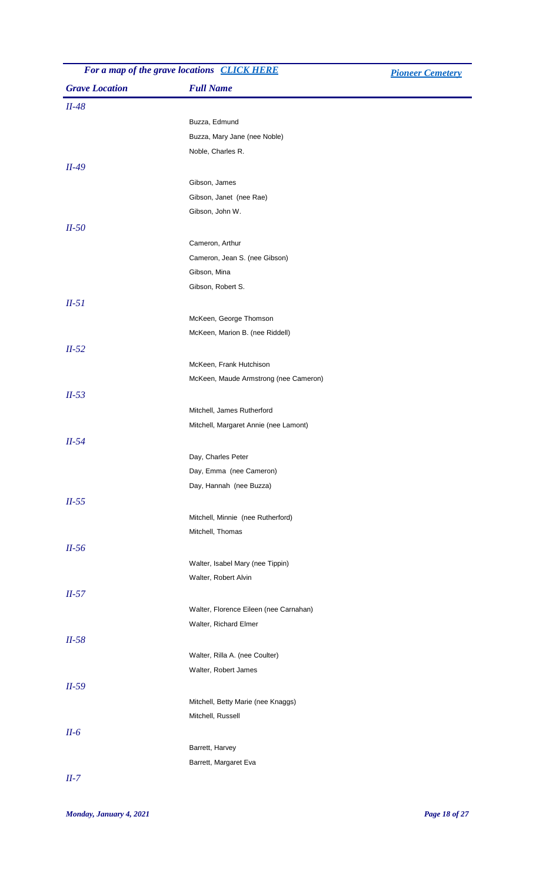| For a map of the grave locations <b>CLICK HERE</b> |                                        | <b>Pioneer Cemetery</b> |
|----------------------------------------------------|----------------------------------------|-------------------------|
| <b>Grave Location</b>                              | <b>Full Name</b>                       |                         |
| $II-48$                                            |                                        |                         |
|                                                    | Buzza, Edmund                          |                         |
|                                                    | Buzza, Mary Jane (nee Noble)           |                         |
|                                                    | Noble, Charles R.                      |                         |
| $II-49$                                            |                                        |                         |
|                                                    | Gibson, James                          |                         |
|                                                    | Gibson, Janet (nee Rae)                |                         |
|                                                    | Gibson, John W.                        |                         |
| $II-50$                                            |                                        |                         |
|                                                    | Cameron, Arthur                        |                         |
|                                                    | Cameron, Jean S. (nee Gibson)          |                         |
|                                                    | Gibson, Mina                           |                         |
|                                                    | Gibson, Robert S.                      |                         |
| $II-51$                                            |                                        |                         |
|                                                    | McKeen, George Thomson                 |                         |
|                                                    | McKeen, Marion B. (nee Riddell)        |                         |
| $II-52$                                            |                                        |                         |
|                                                    | McKeen, Frank Hutchison                |                         |
|                                                    | McKeen, Maude Armstrong (nee Cameron)  |                         |
| $II-53$                                            |                                        |                         |
|                                                    | Mitchell, James Rutherford             |                         |
|                                                    | Mitchell, Margaret Annie (nee Lamont)  |                         |
| $II-54$                                            |                                        |                         |
|                                                    | Day, Charles Peter                     |                         |
|                                                    | Day, Emma (nee Cameron)                |                         |
|                                                    | Day, Hannah (nee Buzza)                |                         |
| $II-55$                                            |                                        |                         |
|                                                    | Mitchell, Minnie (nee Rutherford)      |                         |
|                                                    | Mitchell, Thomas                       |                         |
| $II-56$                                            |                                        |                         |
|                                                    | Walter, Isabel Mary (nee Tippin)       |                         |
|                                                    | Walter, Robert Alvin                   |                         |
|                                                    |                                        |                         |
| $II-57$                                            |                                        |                         |
|                                                    | Walter, Florence Eileen (nee Carnahan) |                         |
|                                                    | Walter, Richard Elmer                  |                         |
| $II-58$                                            |                                        |                         |
|                                                    | Walter, Rilla A. (nee Coulter)         |                         |
|                                                    | Walter, Robert James                   |                         |
| $II-59$                                            |                                        |                         |
|                                                    | Mitchell, Betty Marie (nee Knaggs)     |                         |
|                                                    | Mitchell, Russell                      |                         |
| $II-6$                                             |                                        |                         |
|                                                    | Barrett, Harvey                        |                         |
|                                                    | Barrett, Margaret Eva                  |                         |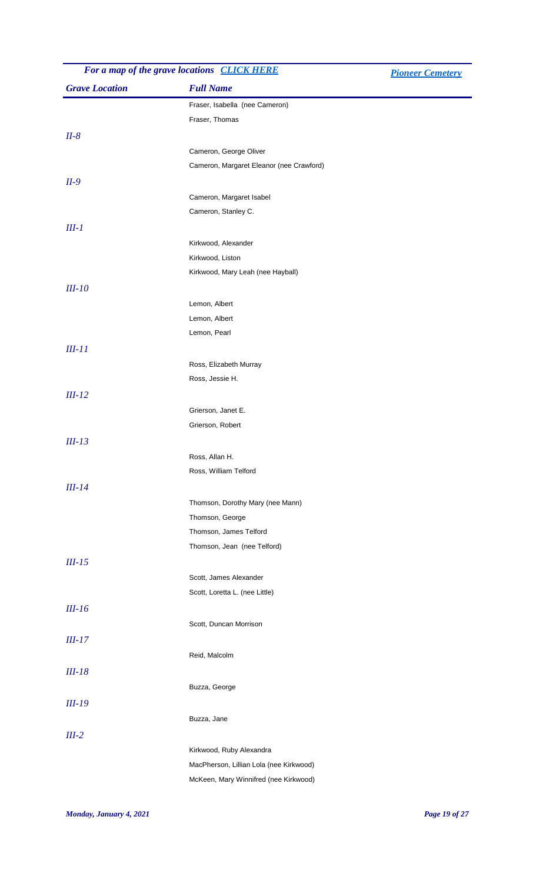|                       | For a map of the grave locations <b>CLICK HERE</b> | <b>Pioneer Cemetery</b> |
|-----------------------|----------------------------------------------------|-------------------------|
| <b>Grave Location</b> | <b>Full Name</b>                                   |                         |
|                       | Fraser, Isabella (nee Cameron)                     |                         |
|                       | Fraser, Thomas                                     |                         |
| $II-8$                |                                                    |                         |
|                       | Cameron, George Oliver                             |                         |
|                       | Cameron, Margaret Eleanor (nee Crawford)           |                         |
| $II-9$                |                                                    |                         |
|                       | Cameron, Margaret Isabel                           |                         |
|                       | Cameron, Stanley C.                                |                         |
| $III-1$               |                                                    |                         |
|                       | Kirkwood, Alexander                                |                         |
|                       | Kirkwood, Liston                                   |                         |
|                       | Kirkwood, Mary Leah (nee Hayball)                  |                         |
| $III-10$              |                                                    |                         |
|                       | Lemon, Albert                                      |                         |
|                       | Lemon, Albert                                      |                         |
|                       | Lemon, Pearl                                       |                         |
| $III-11$              |                                                    |                         |
|                       | Ross, Elizabeth Murray                             |                         |
|                       | Ross, Jessie H.                                    |                         |
| $III-12$              |                                                    |                         |
|                       | Grierson, Janet E.                                 |                         |
|                       | Grierson, Robert                                   |                         |
| $III-13$              |                                                    |                         |
|                       | Ross, Allan H.                                     |                         |
|                       | Ross, William Telford                              |                         |
| $III-14$              |                                                    |                         |
|                       | Thomson, Dorothy Mary (nee Mann)                   |                         |
|                       | Thomson, George                                    |                         |
|                       | Thomson, James Telford                             |                         |
|                       | Thomson, Jean (nee Telford)                        |                         |
| $III-15$              |                                                    |                         |
|                       | Scott, James Alexander                             |                         |
|                       | Scott, Loretta L. (nee Little)                     |                         |
| $III-16$              |                                                    |                         |
|                       | Scott, Duncan Morrison                             |                         |
| $III-17$              |                                                    |                         |
|                       | Reid, Malcolm                                      |                         |
| $III-18$              |                                                    |                         |
|                       | Buzza, George                                      |                         |
| $III-19$              |                                                    |                         |
|                       | Buzza, Jane                                        |                         |
| $III-2$               |                                                    |                         |
|                       | Kirkwood, Ruby Alexandra                           |                         |
|                       | MacPherson, Lillian Lola (nee Kirkwood)            |                         |
|                       | McKeen, Mary Winnifred (nee Kirkwood)              |                         |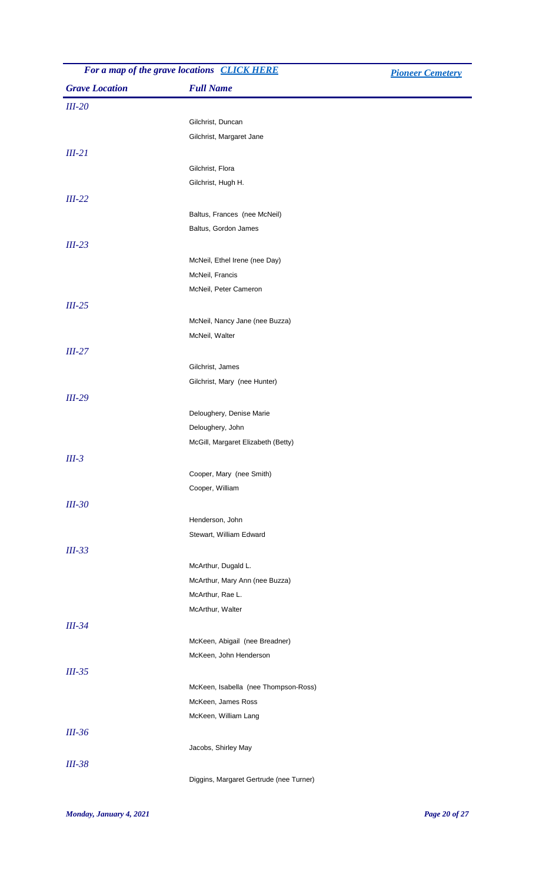| For a map of the grave locations CLICK HERE |                                                            | <b>Pioneer Cemetery</b> |
|---------------------------------------------|------------------------------------------------------------|-------------------------|
| <b>Grave Location</b>                       | <b>Full Name</b>                                           |                         |
| $III-20$                                    |                                                            |                         |
|                                             | Gilchrist, Duncan                                          |                         |
|                                             | Gilchrist, Margaret Jane                                   |                         |
| $III-21$                                    |                                                            |                         |
|                                             | Gilchrist, Flora                                           |                         |
|                                             | Gilchrist, Hugh H.                                         |                         |
| $III-22$                                    |                                                            |                         |
|                                             | Baltus, Frances (nee McNeil)                               |                         |
|                                             | Baltus, Gordon James                                       |                         |
| $III-23$                                    |                                                            |                         |
|                                             | McNeil, Ethel Irene (nee Day)                              |                         |
|                                             | McNeil, Francis                                            |                         |
|                                             | McNeil, Peter Cameron                                      |                         |
| $III-25$                                    |                                                            |                         |
|                                             | McNeil, Nancy Jane (nee Buzza)                             |                         |
|                                             | McNeil, Walter                                             |                         |
| $III-27$                                    |                                                            |                         |
|                                             | Gilchrist, James                                           |                         |
|                                             | Gilchrist, Mary (nee Hunter)                               |                         |
| $III-29$                                    |                                                            |                         |
|                                             | Deloughery, Denise Marie                                   |                         |
|                                             | Deloughery, John                                           |                         |
|                                             | McGill, Margaret Elizabeth (Betty)                         |                         |
| $III-3$                                     |                                                            |                         |
|                                             | Cooper, Mary (nee Smith)                                   |                         |
|                                             | Cooper, William                                            |                         |
| $III-30$                                    |                                                            |                         |
|                                             | Henderson, John                                            |                         |
|                                             | Stewart, William Edward                                    |                         |
|                                             |                                                            |                         |
| $III-33$                                    |                                                            |                         |
|                                             | McArthur, Dugald L.                                        |                         |
|                                             | McArthur, Mary Ann (nee Buzza)<br>McArthur, Rae L.         |                         |
|                                             | McArthur, Walter                                           |                         |
| $III-34$                                    |                                                            |                         |
|                                             | McKeen, Abigail (nee Breadner)                             |                         |
|                                             | McKeen, John Henderson                                     |                         |
|                                             |                                                            |                         |
| $III-35$                                    |                                                            |                         |
|                                             | McKeen, Isabella (nee Thompson-Ross)<br>McKeen, James Ross |                         |
|                                             | McKeen, William Lang                                       |                         |
|                                             |                                                            |                         |
| $III-36$                                    |                                                            |                         |
|                                             | Jacobs, Shirley May                                        |                         |
| <b>III-38</b>                               |                                                            |                         |
|                                             | Diggins, Margaret Gertrude (nee Turner)                    |                         |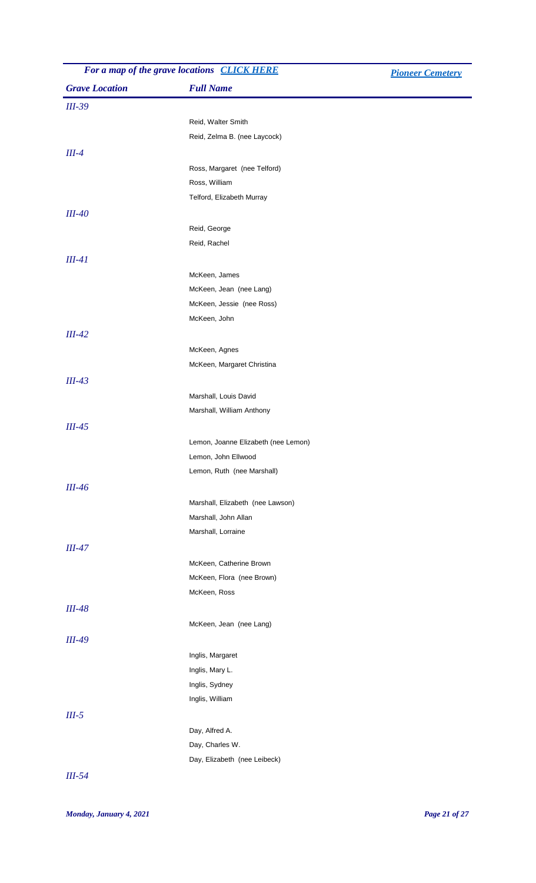| For a map of the grave locations <b>CLICK HERE</b> |                                                      | <b>Pioneer Cemetery</b> |
|----------------------------------------------------|------------------------------------------------------|-------------------------|
| <b>Grave Location</b>                              | <b>Full Name</b>                                     |                         |
| $III-39$                                           |                                                      |                         |
|                                                    | Reid, Walter Smith                                   |                         |
|                                                    | Reid, Zelma B. (nee Laycock)                         |                         |
| $III-4$                                            |                                                      |                         |
|                                                    | Ross, Margaret (nee Telford)                         |                         |
|                                                    | Ross, William                                        |                         |
|                                                    | Telford, Elizabeth Murray                            |                         |
| $III-40$                                           |                                                      |                         |
|                                                    | Reid, George                                         |                         |
|                                                    | Reid, Rachel                                         |                         |
| $III-41$                                           |                                                      |                         |
|                                                    |                                                      |                         |
|                                                    | McKeen, James                                        |                         |
|                                                    | McKeen, Jean (nee Lang)<br>McKeen, Jessie (nee Ross) |                         |
|                                                    | McKeen, John                                         |                         |
|                                                    |                                                      |                         |
| $III-42$                                           |                                                      |                         |
|                                                    | McKeen, Agnes                                        |                         |
|                                                    | McKeen, Margaret Christina                           |                         |
| $III-43$                                           |                                                      |                         |
|                                                    | Marshall, Louis David                                |                         |
|                                                    | Marshall, William Anthony                            |                         |
| $III-45$                                           |                                                      |                         |
|                                                    | Lemon, Joanne Elizabeth (nee Lemon)                  |                         |
|                                                    | Lemon, John Ellwood                                  |                         |
|                                                    | Lemon, Ruth (nee Marshall)                           |                         |
| $III-46$                                           |                                                      |                         |
|                                                    | Marshall, Elizabeth (nee Lawson)                     |                         |
|                                                    | Marshall, John Allan                                 |                         |
|                                                    | Marshall, Lorraine                                   |                         |
| $III-47$                                           |                                                      |                         |
|                                                    | McKeen, Catherine Brown                              |                         |
|                                                    | McKeen, Flora (nee Brown)                            |                         |
|                                                    | McKeen, Ross                                         |                         |
| $III-48$                                           |                                                      |                         |
|                                                    |                                                      |                         |
|                                                    | McKeen, Jean (nee Lang)                              |                         |
| $III-49$                                           |                                                      |                         |
|                                                    | Inglis, Margaret                                     |                         |
|                                                    | Inglis, Mary L.                                      |                         |
|                                                    | Inglis, Sydney                                       |                         |
|                                                    | Inglis, William                                      |                         |
| $III-5$                                            |                                                      |                         |
|                                                    | Day, Alfred A.                                       |                         |
|                                                    | Day, Charles W.                                      |                         |
|                                                    | Day, Elizabeth (nee Leibeck)                         |                         |
|                                                    |                                                      |                         |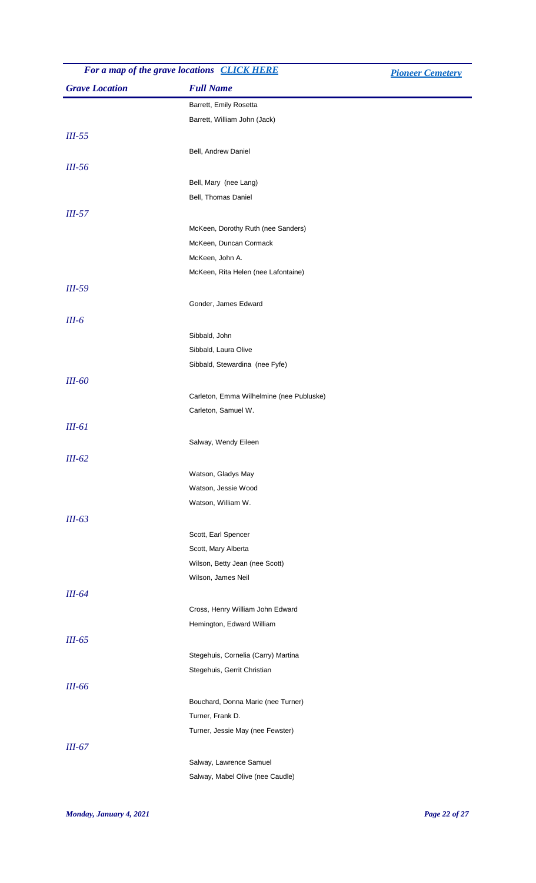|                       | For a map of the grave locations CLICK HERE | <b>Pioneer Cemetery</b> |
|-----------------------|---------------------------------------------|-------------------------|
| <b>Grave Location</b> | <b>Full Name</b>                            |                         |
|                       | Barrett, Emily Rosetta                      |                         |
|                       | Barrett, William John (Jack)                |                         |
| $III-55$              |                                             |                         |
|                       | Bell, Andrew Daniel                         |                         |
| $III-56$              |                                             |                         |
|                       | Bell, Mary (nee Lang)                       |                         |
|                       | Bell, Thomas Daniel                         |                         |
| $III-57$              |                                             |                         |
|                       | McKeen, Dorothy Ruth (nee Sanders)          |                         |
|                       | McKeen, Duncan Cormack                      |                         |
|                       | McKeen, John A.                             |                         |
|                       | McKeen, Rita Helen (nee Lafontaine)         |                         |
| $III-59$              |                                             |                         |
|                       | Gonder, James Edward                        |                         |
| $III-6$               |                                             |                         |
|                       | Sibbald, John                               |                         |
|                       | Sibbald, Laura Olive                        |                         |
|                       | Sibbald, Stewardina (nee Fyfe)              |                         |
| <b>III-60</b>         |                                             |                         |
|                       | Carleton, Emma Wilhelmine (nee Publuske)    |                         |
|                       | Carleton, Samuel W.                         |                         |
| $III-61$              |                                             |                         |
|                       | Salway, Wendy Eileen                        |                         |
| $III-62$              |                                             |                         |
|                       | Watson, Gladys May                          |                         |
|                       | Watson, Jessie Wood                         |                         |
|                       | Watson, William W.                          |                         |
| $III-63$              |                                             |                         |
|                       | Scott, Earl Spencer                         |                         |
|                       | Scott, Mary Alberta                         |                         |
|                       | Wilson, Betty Jean (nee Scott)              |                         |
|                       | Wilson, James Neil                          |                         |
| $III-64$              |                                             |                         |
|                       | Cross, Henry William John Edward            |                         |
|                       | Hemington, Edward William                   |                         |
| $III-65$              |                                             |                         |
|                       | Stegehuis, Cornelia (Carry) Martina         |                         |
|                       | Stegehuis, Gerrit Christian                 |                         |
| $III-66$              |                                             |                         |
|                       | Bouchard, Donna Marie (nee Turner)          |                         |
|                       | Turner, Frank D.                            |                         |
|                       | Turner, Jessie May (nee Fewster)            |                         |
| $III-67$              |                                             |                         |
|                       | Salway, Lawrence Samuel                     |                         |
|                       | Salway, Mabel Olive (nee Caudle)            |                         |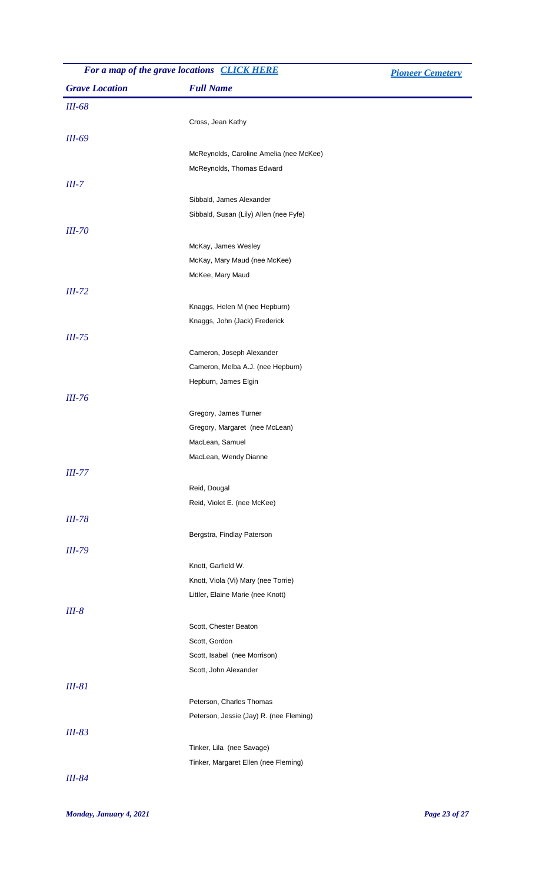| For a map of the grave locations CLICK HERE |                                         | <b>Pioneer Cemetery</b> |
|---------------------------------------------|-----------------------------------------|-------------------------|
| <b>Grave Location</b>                       | <b>Full Name</b>                        |                         |
| <i>III-68</i>                               |                                         |                         |
|                                             | Cross, Jean Kathy                       |                         |
| <b>III-69</b>                               |                                         |                         |
|                                             | McReynolds, Caroline Amelia (nee McKee) |                         |
|                                             | McReynolds, Thomas Edward               |                         |
| $III-7$                                     |                                         |                         |
|                                             | Sibbald, James Alexander                |                         |
|                                             | Sibbald, Susan (Lily) Allen (nee Fyfe)  |                         |
| <b>III-70</b>                               |                                         |                         |
|                                             | McKay, James Wesley                     |                         |
|                                             | McKay, Mary Maud (nee McKee)            |                         |
|                                             | McKee, Mary Maud                        |                         |
| $III-72$                                    |                                         |                         |
|                                             | Knaggs, Helen M (nee Hepburn)           |                         |
|                                             | Knaggs, John (Jack) Frederick           |                         |
| $III-75$                                    |                                         |                         |
|                                             | Cameron, Joseph Alexander               |                         |
|                                             | Cameron, Melba A.J. (nee Hepburn)       |                         |
|                                             | Hepburn, James Elgin                    |                         |
| $III-76$                                    |                                         |                         |
|                                             | Gregory, James Turner                   |                         |
|                                             | Gregory, Margaret (nee McLean)          |                         |
|                                             | MacLean, Samuel                         |                         |
|                                             | MacLean, Wendy Dianne                   |                         |
| $III-77$                                    |                                         |                         |
|                                             | Reid, Dougal                            |                         |
|                                             | Reid, Violet E. (nee McKee)             |                         |
| <b>III-78</b>                               |                                         |                         |
|                                             | Bergstra, Findlay Paterson              |                         |
| $III-79$                                    |                                         |                         |
|                                             | Knott, Garfield W.                      |                         |
|                                             | Knott, Viola (Vi) Mary (nee Torrie)     |                         |
|                                             | Littler, Elaine Marie (nee Knott)       |                         |
| $III-8$                                     |                                         |                         |
|                                             | Scott, Chester Beaton                   |                         |
|                                             | Scott, Gordon                           |                         |
|                                             | Scott, Isabel (nee Morrison)            |                         |
|                                             | Scott, John Alexander                   |                         |
| <b>III-81</b>                               |                                         |                         |
|                                             | Peterson, Charles Thomas                |                         |
|                                             | Peterson, Jessie (Jay) R. (nee Fleming) |                         |
| $III-83$                                    |                                         |                         |
|                                             | Tinker, Lila (nee Savage)               |                         |
|                                             | Tinker, Margaret Ellen (nee Fleming)    |                         |
| <b>III-84</b>                               |                                         |                         |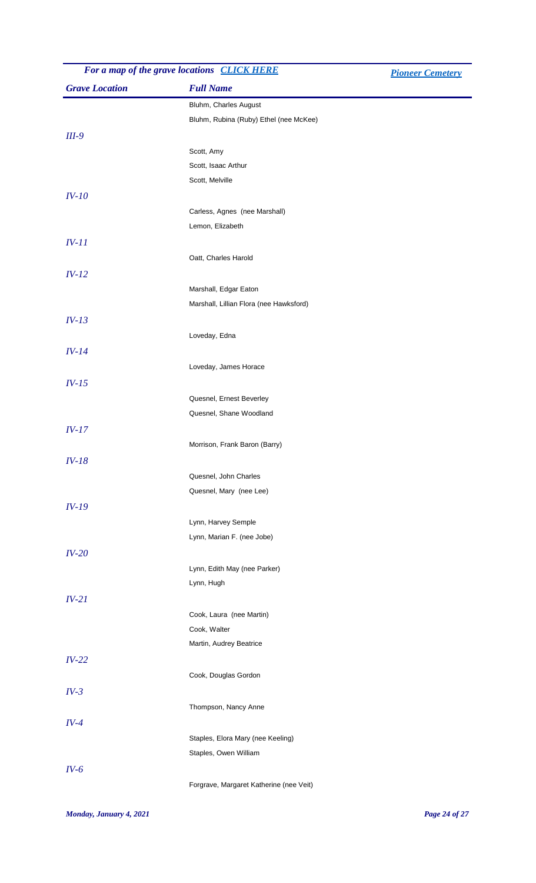| For a map of the grave locations CLICK HERE |                                         | <b>Pioneer Cemetery</b> |
|---------------------------------------------|-----------------------------------------|-------------------------|
| <b>Grave Location</b>                       | <b>Full Name</b>                        |                         |
|                                             | Bluhm, Charles August                   |                         |
|                                             | Bluhm, Rubina (Ruby) Ethel (nee McKee)  |                         |
| $III-9$                                     |                                         |                         |
|                                             | Scott, Amy                              |                         |
|                                             | Scott, Isaac Arthur                     |                         |
|                                             | Scott, Melville                         |                         |
| $IV-10$                                     |                                         |                         |
|                                             | Carless, Agnes (nee Marshall)           |                         |
|                                             | Lemon, Elizabeth                        |                         |
| $IV-11$                                     |                                         |                         |
|                                             | Oatt, Charles Harold                    |                         |
| $IV-12$                                     |                                         |                         |
|                                             | Marshall, Edgar Eaton                   |                         |
|                                             | Marshall, Lillian Flora (nee Hawksford) |                         |
| $IV-13$                                     |                                         |                         |
|                                             | Loveday, Edna                           |                         |
| $IV-14$                                     |                                         |                         |
|                                             |                                         |                         |
|                                             | Loveday, James Horace                   |                         |
| $IV-15$                                     |                                         |                         |
|                                             | Quesnel, Ernest Beverley                |                         |
|                                             | Quesnel, Shane Woodland                 |                         |
| $IV-17$                                     |                                         |                         |
|                                             | Morrison, Frank Baron (Barry)           |                         |
| $IV-18$                                     |                                         |                         |
|                                             | Quesnel, John Charles                   |                         |
|                                             | Quesnel, Mary (nee Lee)                 |                         |
| $IV-19$                                     |                                         |                         |
|                                             | Lynn, Harvey Semple                     |                         |
|                                             | Lynn, Marian F. (nee Jobe)              |                         |
| $IV-20$                                     |                                         |                         |
|                                             | Lynn, Edith May (nee Parker)            |                         |
|                                             | Lynn, Hugh                              |                         |
| $IV-21$                                     |                                         |                         |
|                                             | Cook, Laura (nee Martin)                |                         |
|                                             | Cook, Walter                            |                         |
|                                             | Martin, Audrey Beatrice                 |                         |
| $IV-22$                                     |                                         |                         |
|                                             | Cook, Douglas Gordon                    |                         |
| $IV-3$                                      |                                         |                         |
|                                             | Thompson, Nancy Anne                    |                         |
| $IV-4$                                      |                                         |                         |
|                                             | Staples, Elora Mary (nee Keeling)       |                         |
|                                             | Staples, Owen William                   |                         |
| $IV-6$                                      |                                         |                         |
|                                             | Forgrave, Margaret Katherine (nee Veit) |                         |
|                                             |                                         |                         |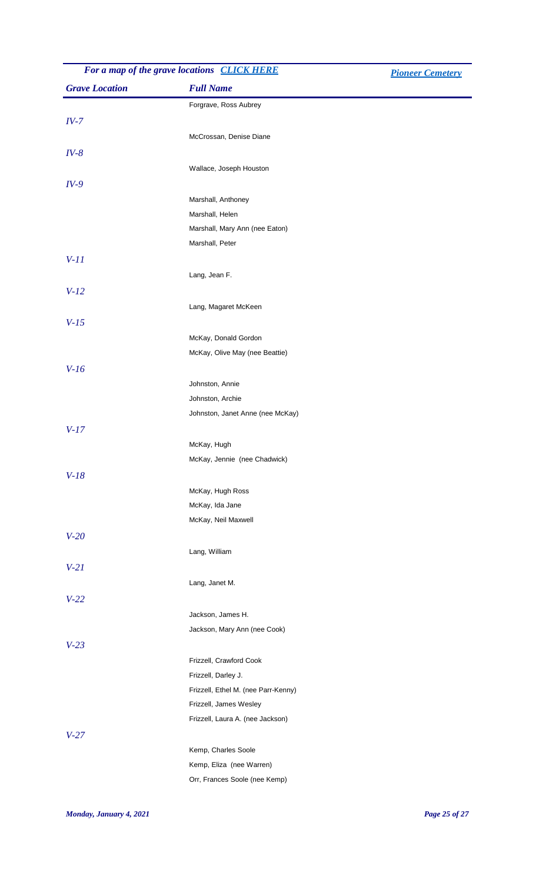| For a map of the grave locations <b>CLICK HERE</b> | <b>Pioneer Cemetery</b>                              |  |
|----------------------------------------------------|------------------------------------------------------|--|
| <b>Grave Location</b>                              | <b>Full Name</b>                                     |  |
|                                                    | Forgrave, Ross Aubrey                                |  |
| $IV-7$                                             |                                                      |  |
|                                                    | McCrossan, Denise Diane                              |  |
|                                                    |                                                      |  |
| $IV-8$                                             |                                                      |  |
|                                                    | Wallace, Joseph Houston                              |  |
| $IV-9$                                             |                                                      |  |
|                                                    | Marshall, Anthoney                                   |  |
|                                                    | Marshall, Helen                                      |  |
|                                                    | Marshall, Mary Ann (nee Eaton)                       |  |
|                                                    | Marshall, Peter                                      |  |
| $V-11$                                             |                                                      |  |
|                                                    | Lang, Jean F.                                        |  |
| $V-12$                                             |                                                      |  |
|                                                    | Lang, Magaret McKeen                                 |  |
| $V-15$                                             |                                                      |  |
|                                                    | McKay, Donald Gordon                                 |  |
|                                                    | McKay, Olive May (nee Beattie)                       |  |
| $V-16$                                             |                                                      |  |
|                                                    | Johnston, Annie                                      |  |
|                                                    |                                                      |  |
|                                                    | Johnston, Archie<br>Johnston, Janet Anne (nee McKay) |  |
|                                                    |                                                      |  |
| $V-17$                                             |                                                      |  |
|                                                    | McKay, Hugh                                          |  |
|                                                    | McKay, Jennie (nee Chadwick)                         |  |
| $V-18$                                             |                                                      |  |
|                                                    | McKay, Hugh Ross                                     |  |
|                                                    | McKay, Ida Jane                                      |  |
|                                                    | McKay, Neil Maxwell                                  |  |
| $V-20$                                             |                                                      |  |
|                                                    | Lang, William                                        |  |
| $V-21$                                             |                                                      |  |
|                                                    | Lang, Janet M.                                       |  |
| $V-22$                                             |                                                      |  |
|                                                    | Jackson, James H.                                    |  |
|                                                    | Jackson, Mary Ann (nee Cook)                         |  |
|                                                    |                                                      |  |
| $V-23$                                             |                                                      |  |
|                                                    | Frizzell, Crawford Cook                              |  |
|                                                    | Frizzell, Darley J.                                  |  |
|                                                    | Frizzell, Ethel M. (nee Parr-Kenny)                  |  |
|                                                    | Frizzell, James Wesley                               |  |
|                                                    | Frizzell, Laura A. (nee Jackson)                     |  |
| $V-27$                                             |                                                      |  |
|                                                    | Kemp, Charles Soole                                  |  |
|                                                    | Kemp, Eliza (nee Warren)                             |  |
|                                                    | Orr, Frances Soole (nee Kemp)                        |  |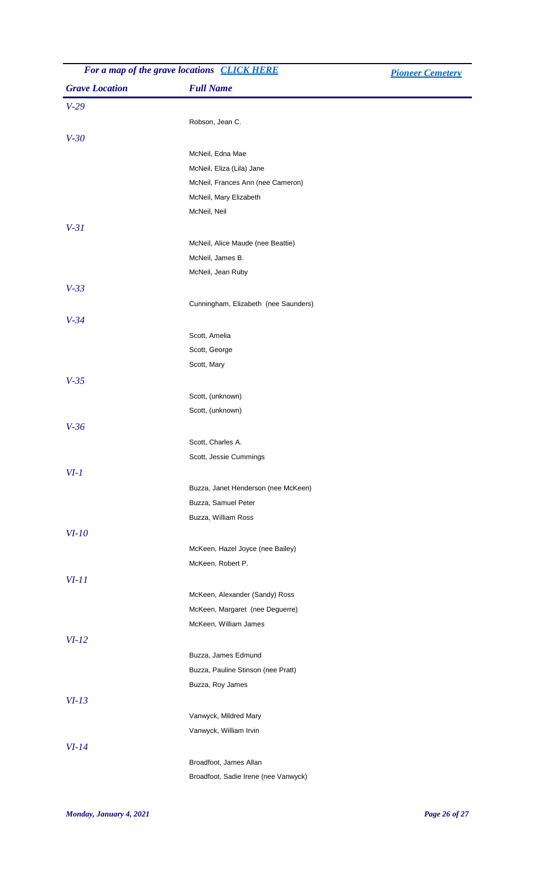| For a map of the grave locations CLICK HERE |                                      | <b>Pioneer Cemetery</b> |
|---------------------------------------------|--------------------------------------|-------------------------|
| <b>Grave Location</b>                       | <b>Full Name</b>                     |                         |
| $V-29$                                      |                                      |                         |
|                                             | Robson, Jean C.                      |                         |
| $V-30$                                      |                                      |                         |
|                                             | McNeil, Edna Mae                     |                         |
|                                             | McNeil, Eliza (Lila) Jane            |                         |
|                                             | McNeil, Frances Ann (nee Cameron)    |                         |
|                                             | McNeil, Mary Elizabeth               |                         |
|                                             | McNeil, Neil                         |                         |
| $V-31$                                      |                                      |                         |
|                                             | McNeil, Alice Maude (nee Beattie)    |                         |
|                                             | McNeil, James B.                     |                         |
|                                             | McNeil, Jean Ruby                    |                         |
| $V-33$                                      |                                      |                         |
|                                             | Cunningham, Elizabeth (nee Saunders) |                         |
| $V-34$                                      |                                      |                         |
|                                             | Scott, Amelia                        |                         |
|                                             | Scott, George                        |                         |
|                                             | Scott, Mary                          |                         |
| $V-35$                                      |                                      |                         |
|                                             | Scott, (unknown)                     |                         |
|                                             | Scott, (unknown)                     |                         |
| $V-36$                                      |                                      |                         |
|                                             | Scott, Charles A.                    |                         |
|                                             | Scott, Jessie Cummings               |                         |
| $VI-1$                                      |                                      |                         |
|                                             | Buzza, Janet Henderson (nee McKeen)  |                         |
|                                             | Buzza, Samuel Peter                  |                         |
|                                             | Buzza, William Ross                  |                         |
| $VI-10$                                     |                                      |                         |
|                                             | McKeen, Hazel Joyce (nee Bailey)     |                         |
|                                             | McKeen, Robert P.                    |                         |
|                                             |                                      |                         |
| $VI-11$                                     |                                      |                         |
|                                             | McKeen, Alexander (Sandy) Ross       |                         |
|                                             | McKeen, Margaret (nee Deguerre)      |                         |
|                                             | McKeen, William James                |                         |
| $VI-12$                                     |                                      |                         |
|                                             | Buzza, James Edmund                  |                         |
|                                             | Buzza, Pauline Stinson (nee Pratt)   |                         |
|                                             | Buzza, Roy James                     |                         |
| $VI-13$                                     |                                      |                         |
|                                             | Vanwyck, Mildred Mary                |                         |
|                                             | Vanwyck, William Irvin               |                         |
| $VI-14$                                     |                                      |                         |
|                                             | Broadfoot, James Allan               |                         |
|                                             | Broadfoot, Sadie Irene (nee Vanwyck) |                         |